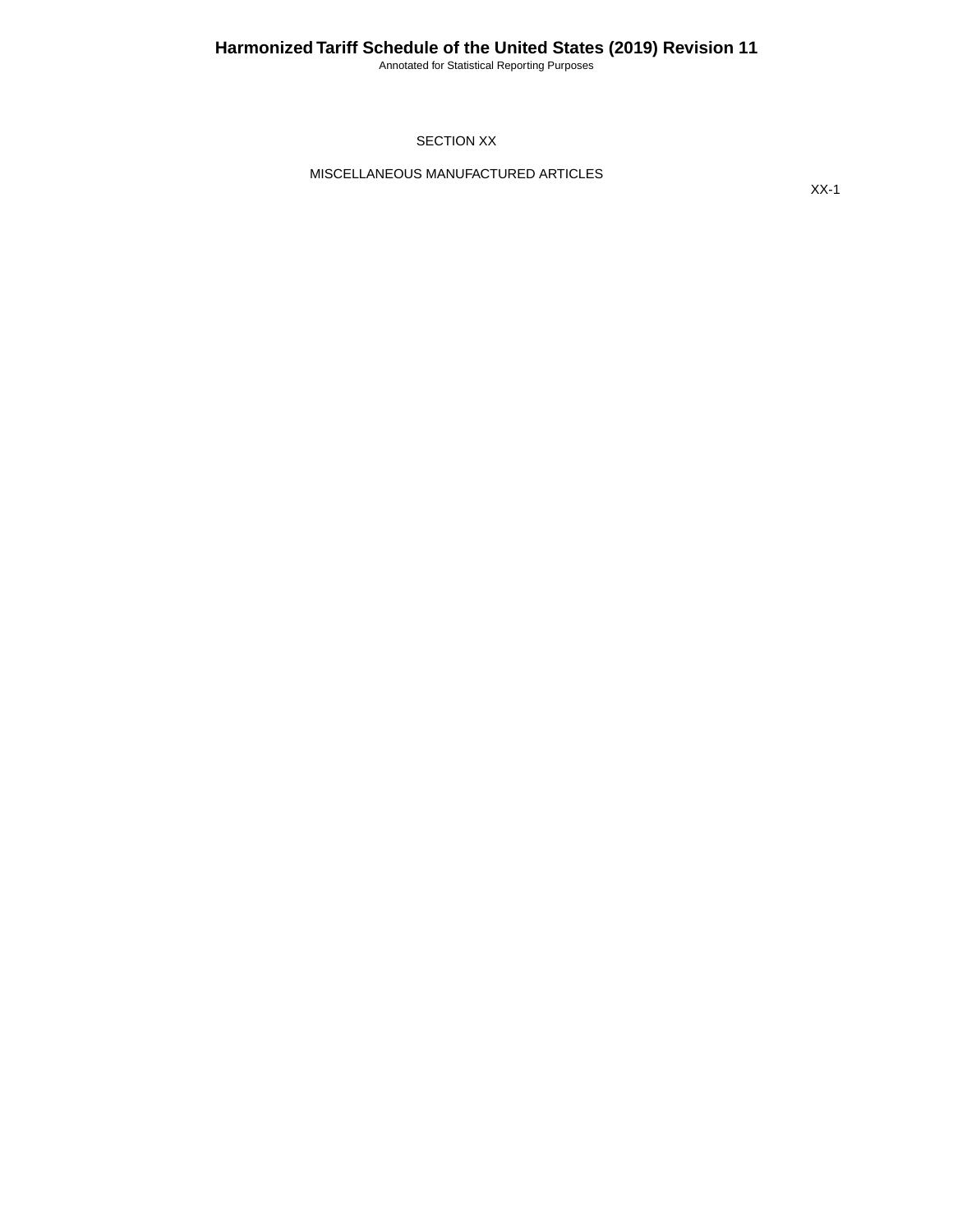Annotated for Statistical Reporting Purposes

SECTION XX

MISCELLANEOUS MANUFACTURED ARTICLES

XX-1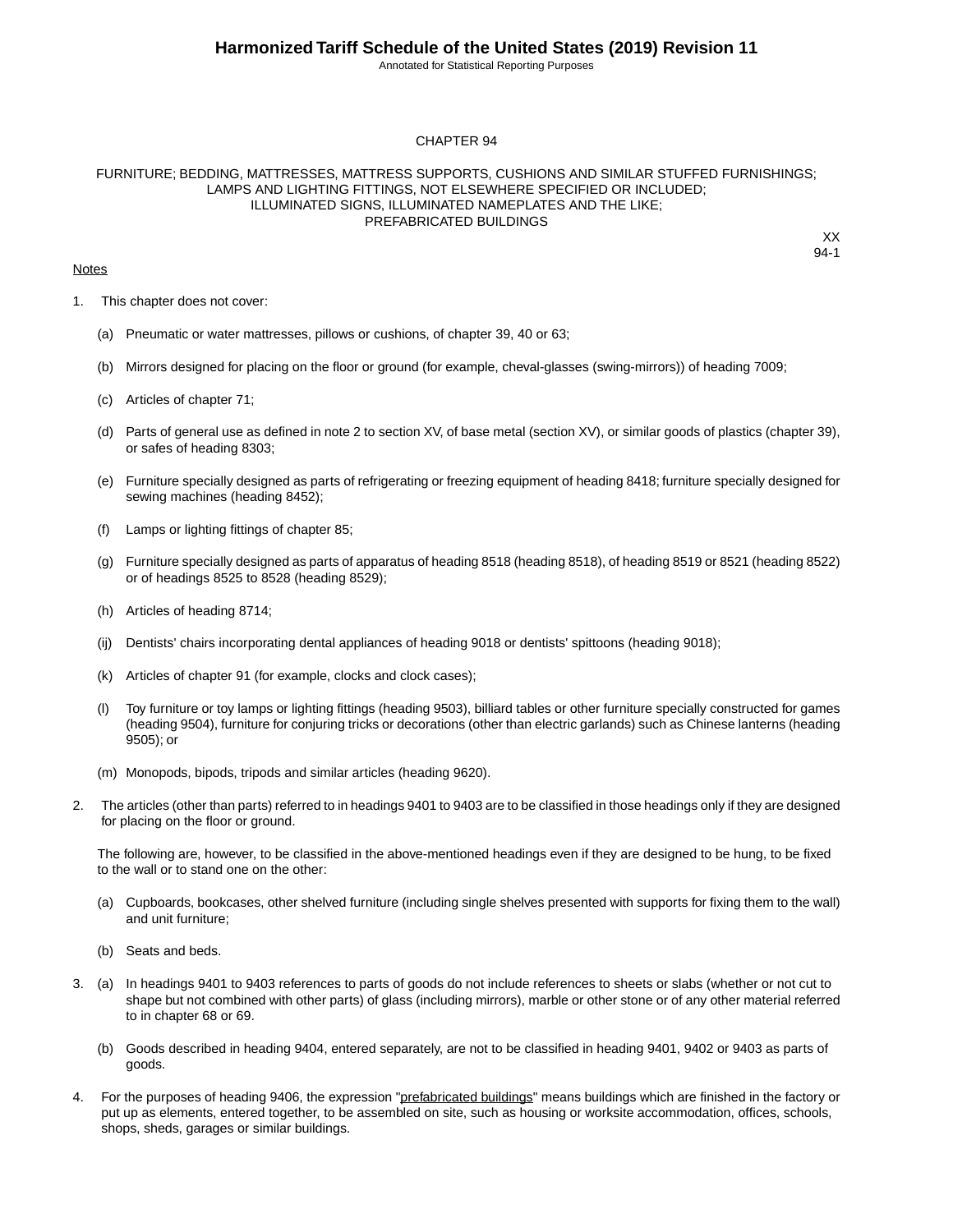Annotated for Statistical Reporting Purposes

#### CHAPTER 94

#### FURNITURE; BEDDING, MATTRESSES, MATTRESS SUPPORTS, CUSHIONS AND SIMILAR STUFFED FURNISHINGS; LAMPS AND LIGHTING FITTINGS, NOT ELSEWHERE SPECIFIED OR INCLUDED; ILLUMINATED SIGNS, ILLUMINATED NAMEPLATES AND THE LIKE; PREFABRICATED BUILDINGS

#### **Notes**

XX 94-1

- 1. This chapter does not cover:
	- (a) Pneumatic or water mattresses, pillows or cushions, of chapter 39, 40 or 63;
	- (b) Mirrors designed for placing on the floor or ground (for example, cheval-glasses (swing-mirrors)) of heading 7009;
	- (c) Articles of chapter 71;
	- (d) Parts of general use as defined in note 2 to section XV, of base metal (section XV), or similar goods of plastics (chapter 39), or safes of heading 8303;
	- (e) Furniture specially designed as parts of refrigerating or freezing equipment of heading 8418; furniture specially designed for sewing machines (heading 8452);
	- (f) Lamps or lighting fittings of chapter 85;
	- (g) Furniture specially designed as parts of apparatus of heading 8518 (heading 8518), of heading 8519 or 8521 (heading 8522) or of headings 8525 to 8528 (heading 8529);
	- (h) Articles of heading 8714;
	- (ij) Dentists' chairs incorporating dental appliances of heading 9018 or dentists' spittoons (heading 9018);
	- (k) Articles of chapter 91 (for example, clocks and clock cases);
	- (l) Toy furniture or toy lamps or lighting fittings (heading 9503), billiard tables or other furniture specially constructed for games (heading 9504), furniture for conjuring tricks or decorations (other than electric garlands) such as Chinese lanterns (heading 9505); or
	- (m) Monopods, bipods, tripods and similar articles (heading 9620).
- 2. The articles (other than parts) referred to in headings 9401 to 9403 are to be classified in those headings only if they are designed for placing on the floor or ground.

The following are, however, to be classified in the above-mentioned headings even if they are designed to be hung, to be fixed to the wall or to stand one on the other:

- (a) Cupboards, bookcases, other shelved furniture (including single shelves presented with supports for fixing them to the wall) and unit furniture;
- (b) Seats and beds.
- 3. (a) In headings 9401 to 9403 references to parts of goods do not include references to sheets or slabs (whether or not cut to shape but not combined with other parts) of glass (including mirrors), marble or other stone or of any other material referred to in chapter 68 or 69.
	- (b) Goods described in heading 9404, entered separately, are not to be classified in heading 9401, 9402 or 9403 as parts of goods.
- 4. For the purposes of heading 9406, the expression "prefabricated buildings" means buildings which are finished in the factory or put up as elements, entered together, to be assembled on site, such as housing or worksite accommodation, offices, schools, shops, sheds, garages or similar buildings.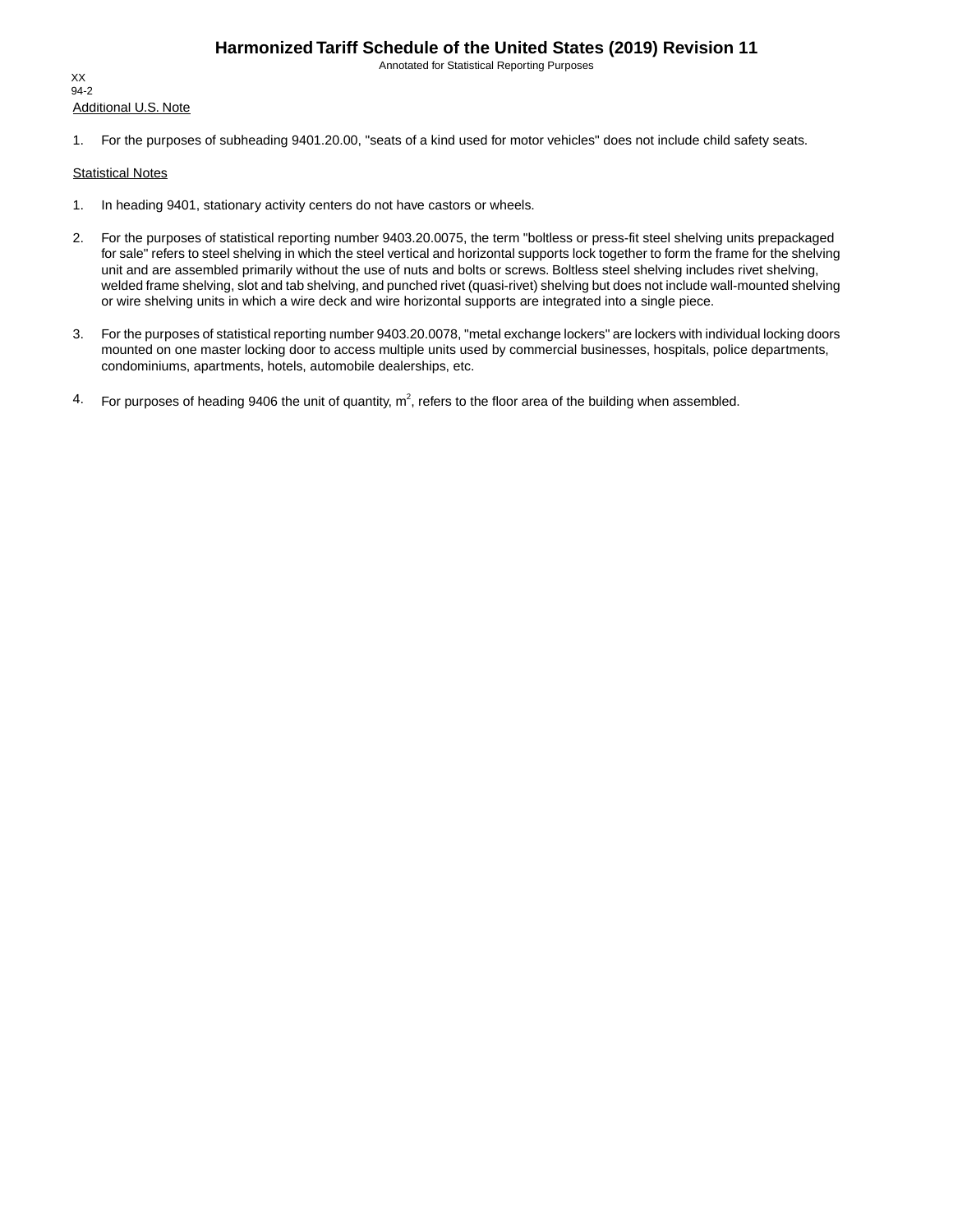Annotated for Statistical Reporting Purposes

Additional U.S. Note XX 94-2

1. For the purposes of subheading 9401.20.00, "seats of a kind used for motor vehicles" does not include child safety seats.

#### **Statistical Notes**

- 1. In heading 9401, stationary activity centers do not have castors or wheels.
- 2. For the purposes of statistical reporting number 9403.20.0075, the term "boltless or press-fit steel shelving units prepackaged for sale" refers to steel shelving in which the steel vertical and horizontal supports lock together to form the frame for the shelving unit and are assembled primarily without the use of nuts and bolts or screws. Boltless steel shelving includes rivet shelving, welded frame shelving, slot and tab shelving, and punched rivet (quasi-rivet) shelving but does not include wall-mounted shelving or wire shelving units in which a wire deck and wire horizontal supports are integrated into a single piece.
- 3. For the purposes of statistical reporting number 9403.20.0078, "metal exchange lockers" are lockers with individual locking doors mounted on one master locking door to access multiple units used by commercial businesses, hospitals, police departments, condominiums, apartments, hotels, automobile dealerships, etc.
- 4. For purposes of heading 9406 the unit of quantity,  $m^2$ , refers to the floor area of the building when assembled.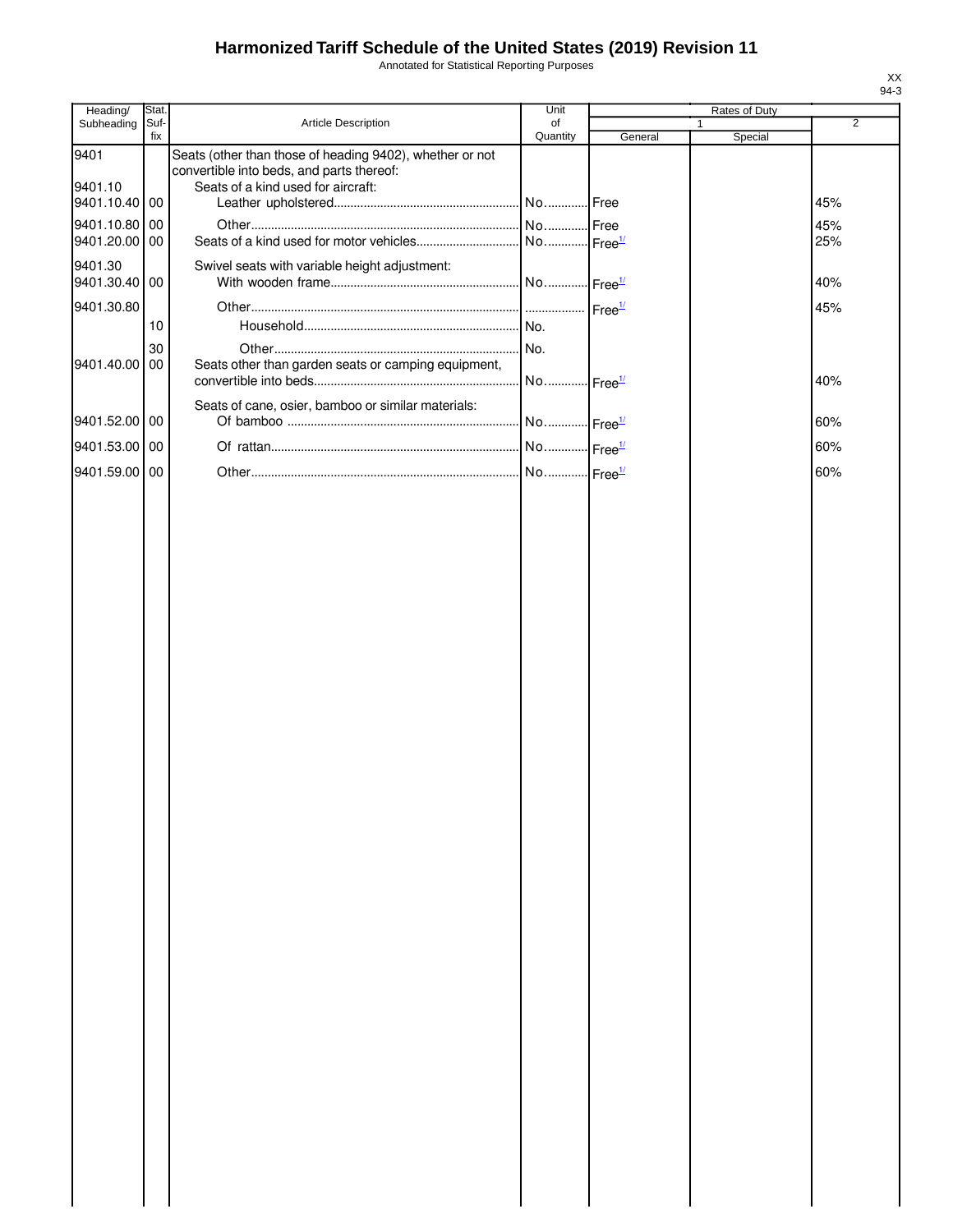Annotated for Statistical Reporting Purposes

| Heading/                 | Stat. |                                                                                                                                             | Unit                  |         | Rates of Duty |                |
|--------------------------|-------|---------------------------------------------------------------------------------------------------------------------------------------------|-----------------------|---------|---------------|----------------|
| Subheading               | Suf-  | Article Description                                                                                                                         | of                    |         |               | $\overline{2}$ |
| 9401<br>9401.10          | fix   | Seats (other than those of heading 9402), whether or not<br>convertible into beds, and parts thereof:<br>Seats of a kind used for aircraft: | Quantity              | General | Special       |                |
| 9401.10.40 00            |       |                                                                                                                                             |                       |         |               | 45%            |
| 9401.10.80 00            |       |                                                                                                                                             |                       |         |               | 45%            |
| 9401.20.00 00            |       |                                                                                                                                             |                       |         |               | 25%            |
| 9401.30<br>9401.30.40 00 |       | Swivel seats with variable height adjustment:                                                                                               |                       |         |               | 40%            |
| 9401.30.80               |       |                                                                                                                                             |                       |         |               | 45%            |
|                          | 10    |                                                                                                                                             |                       |         |               |                |
|                          | 30    |                                                                                                                                             |                       |         |               |                |
| 9401.40.00 00            |       | Seats other than garden seats or camping equipment,                                                                                         | No Free <sup>1/</sup> |         |               | 40%            |
|                          |       | Seats of cane, osier, bamboo or similar materials:                                                                                          |                       |         |               |                |
| 9401.52.00 00            |       |                                                                                                                                             | No Free <sup>1/</sup> |         |               | 60%            |
| 9401.53.00 00            |       |                                                                                                                                             | No Free <sup>1/</sup> |         |               | 60%            |
| 9401.59.00 00            |       |                                                                                                                                             | No Free <sup>1/</sup> |         |               | 60%            |
|                          |       |                                                                                                                                             |                       |         |               |                |
|                          |       |                                                                                                                                             |                       |         |               |                |
|                          |       |                                                                                                                                             |                       |         |               |                |
|                          |       |                                                                                                                                             |                       |         |               |                |
|                          |       |                                                                                                                                             |                       |         |               |                |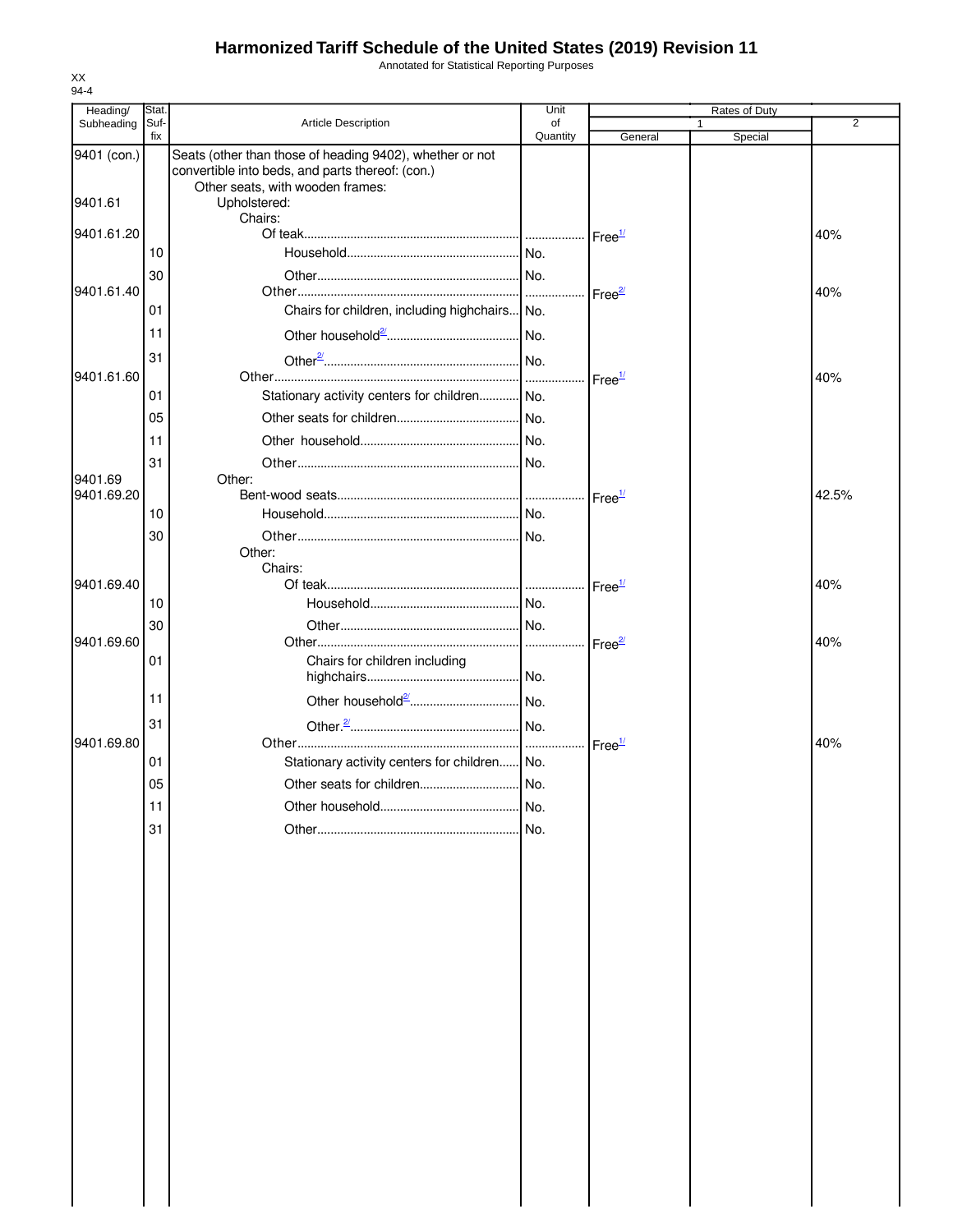Annotated for Statistical Reporting Purposes

| Heading/    | Stat.       |                                                                                                                                                  | Unit           |                    | Rates of Duty |       |
|-------------|-------------|--------------------------------------------------------------------------------------------------------------------------------------------------|----------------|--------------------|---------------|-------|
| Subheading  | Suf-<br>fix | Article Description                                                                                                                              | of<br>Quantity | General            | Special       | 2     |
| 9401 (con.) |             | Seats (other than those of heading 9402), whether or not<br>convertible into beds, and parts thereof: (con.)<br>Other seats, with wooden frames: |                |                    |               |       |
| 9401.61     |             | Upholstered:<br>Chairs:                                                                                                                          |                |                    |               |       |
| 9401.61.20  |             |                                                                                                                                                  |                | Free <sup>1/</sup> |               | 40%   |
|             | 10          |                                                                                                                                                  |                |                    |               |       |
|             | 30          |                                                                                                                                                  |                |                    |               |       |
| 9401.61.40  |             |                                                                                                                                                  |                | Free <sup>2/</sup> |               | 40%   |
|             | 01          | Chairs for children, including highchairs No.                                                                                                    |                |                    |               |       |
|             | 11          |                                                                                                                                                  |                |                    |               |       |
| 9401.61.60  | 31          |                                                                                                                                                  |                |                    |               | 40%   |
|             | 01          | Stationary activity centers for children No.                                                                                                     |                | Free <sup>1/</sup> |               |       |
|             | 05          |                                                                                                                                                  |                |                    |               |       |
|             |             |                                                                                                                                                  |                |                    |               |       |
|             | 11          |                                                                                                                                                  |                |                    |               |       |
| 9401.69     | 31          | Other:                                                                                                                                           |                |                    |               |       |
| 9401.69.20  |             |                                                                                                                                                  |                | Free <sup>1/</sup> |               | 42.5% |
|             | 10          |                                                                                                                                                  |                |                    |               |       |
|             | 30          |                                                                                                                                                  |                |                    |               |       |
|             |             | Other:                                                                                                                                           |                |                    |               |       |
| 9401.69.40  |             | Chairs:                                                                                                                                          |                | Free <sup>1/</sup> |               | 40%   |
|             | 10          |                                                                                                                                                  |                |                    |               |       |
|             | 30          |                                                                                                                                                  |                |                    |               |       |
| 9401.69.60  |             |                                                                                                                                                  |                | Free <sup>2/</sup> |               | 40%   |
|             | 01          | Chairs for children including                                                                                                                    |                |                    |               |       |
|             | 11          |                                                                                                                                                  |                |                    |               |       |
|             | 31          |                                                                                                                                                  |                |                    |               |       |
| 9401.69.80  |             |                                                                                                                                                  |                | Free <sup>1/</sup> |               | 40%   |
|             | 01          | Stationary activity centers for children No.                                                                                                     |                |                    |               |       |
|             | 05          |                                                                                                                                                  |                |                    |               |       |
|             | 11          |                                                                                                                                                  | No.            |                    |               |       |
|             | 31          |                                                                                                                                                  | No.            |                    |               |       |
|             |             |                                                                                                                                                  |                |                    |               |       |
|             |             |                                                                                                                                                  |                |                    |               |       |
|             |             |                                                                                                                                                  |                |                    |               |       |
|             |             |                                                                                                                                                  |                |                    |               |       |
|             |             |                                                                                                                                                  |                |                    |               |       |
|             |             |                                                                                                                                                  |                |                    |               |       |
|             |             |                                                                                                                                                  |                |                    |               |       |
|             |             |                                                                                                                                                  |                |                    |               |       |
|             |             |                                                                                                                                                  |                |                    |               |       |
|             |             |                                                                                                                                                  |                |                    |               |       |
|             |             |                                                                                                                                                  |                |                    |               |       |
|             |             |                                                                                                                                                  |                |                    |               |       |
|             |             |                                                                                                                                                  |                |                    |               |       |
|             |             |                                                                                                                                                  |                |                    |               |       |
|             |             |                                                                                                                                                  |                |                    |               |       |
|             |             |                                                                                                                                                  |                |                    |               |       |
|             |             |                                                                                                                                                  |                |                    |               |       |
|             |             |                                                                                                                                                  |                |                    |               |       |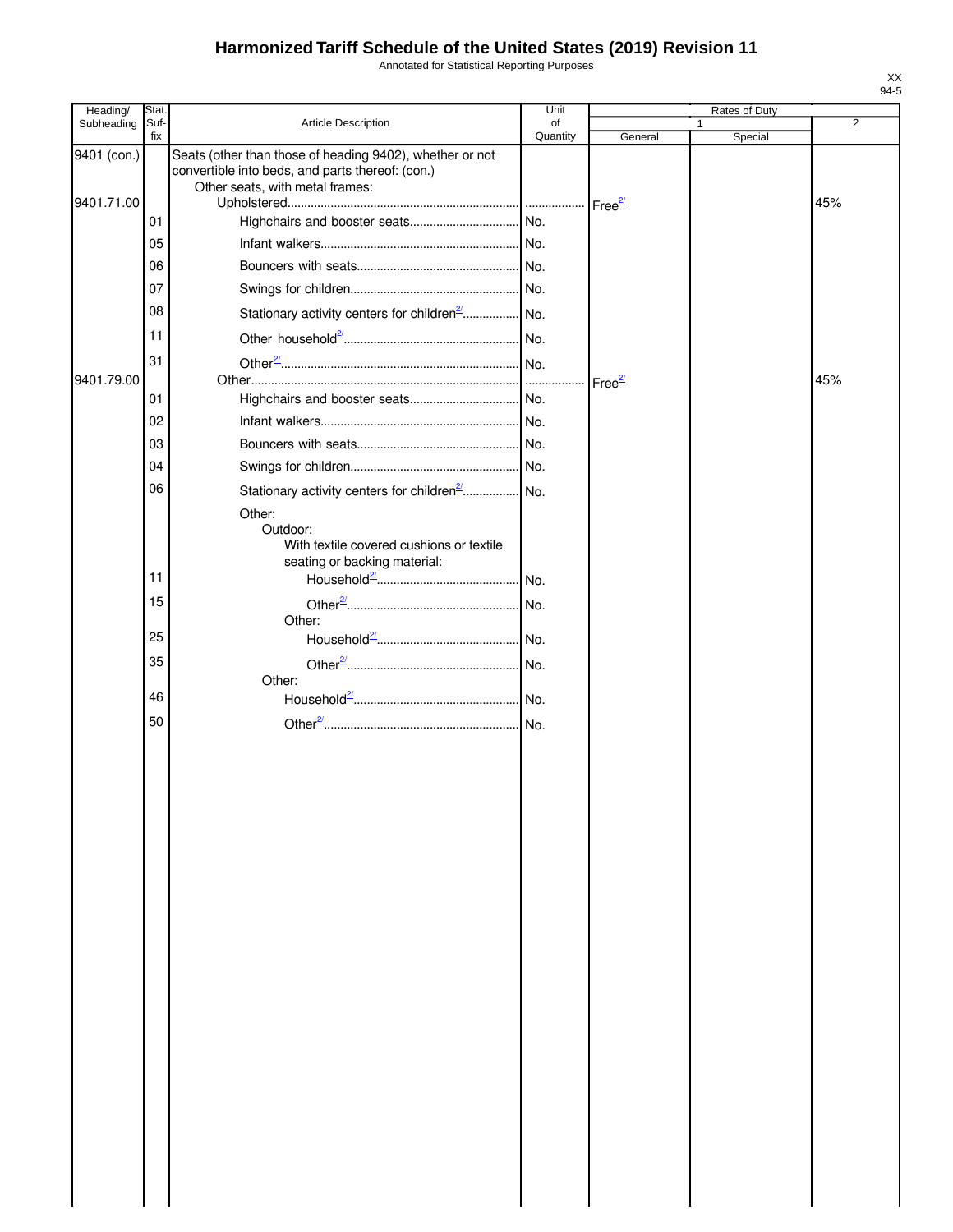Annotated for Statistical Reporting Purposes

| Heading/                  | Stat.       |                                                                                                                                                 | Unit           |                    | Rates of Duty |                |
|---------------------------|-------------|-------------------------------------------------------------------------------------------------------------------------------------------------|----------------|--------------------|---------------|----------------|
| Subheading                | Suf-<br>fix | <b>Article Description</b>                                                                                                                      | of<br>Quantity | General            | Special       | $\overline{2}$ |
| 9401 (con.)<br>9401.71.00 |             | Seats (other than those of heading 9402), whether or not<br>convertible into beds, and parts thereof: (con.)<br>Other seats, with metal frames: |                |                    |               | 45%            |
|                           | 01          |                                                                                                                                                 |                |                    |               |                |
|                           | 05          |                                                                                                                                                 |                |                    |               |                |
|                           | 06          |                                                                                                                                                 |                |                    |               |                |
|                           | 07          |                                                                                                                                                 |                |                    |               |                |
|                           | 08          | Stationary activity centers for children <sup>2</sup> No.                                                                                       |                |                    |               |                |
|                           | 11          |                                                                                                                                                 |                |                    |               |                |
|                           | 31          |                                                                                                                                                 |                |                    |               |                |
| 9401.79.00                |             |                                                                                                                                                 |                | Free <sup>2/</sup> |               | 45%            |
|                           | 01          |                                                                                                                                                 |                |                    |               |                |
|                           | 02          |                                                                                                                                                 |                |                    |               |                |
|                           | 03          |                                                                                                                                                 |                |                    |               |                |
|                           | 04          |                                                                                                                                                 |                |                    |               |                |
|                           | 06          | Stationary activity centers for children <sup>2</sup> No.                                                                                       |                |                    |               |                |
|                           | 11          | Other:<br>Outdoor:<br>With textile covered cushions or textile<br>seating or backing material:                                                  |                |                    |               |                |
|                           | 15          |                                                                                                                                                 |                |                    |               |                |
|                           |             | Other:                                                                                                                                          |                |                    |               |                |
|                           | 25          |                                                                                                                                                 |                |                    |               |                |
|                           | 35          |                                                                                                                                                 |                |                    |               |                |
|                           | 46          | Other:                                                                                                                                          |                |                    |               |                |
|                           |             |                                                                                                                                                 |                |                    |               |                |
|                           | 50          |                                                                                                                                                 |                |                    |               |                |
|                           |             |                                                                                                                                                 |                |                    |               |                |
|                           |             |                                                                                                                                                 |                |                    |               |                |
|                           |             |                                                                                                                                                 |                |                    |               |                |
|                           |             |                                                                                                                                                 |                |                    |               |                |
|                           |             |                                                                                                                                                 |                |                    |               |                |
|                           |             |                                                                                                                                                 |                |                    |               |                |
|                           |             |                                                                                                                                                 |                |                    |               |                |
|                           |             |                                                                                                                                                 |                |                    |               |                |
|                           |             |                                                                                                                                                 |                |                    |               |                |
|                           |             |                                                                                                                                                 |                |                    |               |                |
|                           |             |                                                                                                                                                 |                |                    |               |                |
|                           |             |                                                                                                                                                 |                |                    |               |                |
|                           |             |                                                                                                                                                 |                |                    |               |                |
|                           |             |                                                                                                                                                 |                |                    |               |                |
|                           |             |                                                                                                                                                 |                |                    |               |                |
|                           |             |                                                                                                                                                 |                |                    |               |                |
|                           |             |                                                                                                                                                 |                |                    |               |                |
|                           |             |                                                                                                                                                 |                |                    |               |                |
|                           |             |                                                                                                                                                 |                |                    |               |                |
|                           |             |                                                                                                                                                 |                |                    |               |                |
|                           |             |                                                                                                                                                 |                |                    |               |                |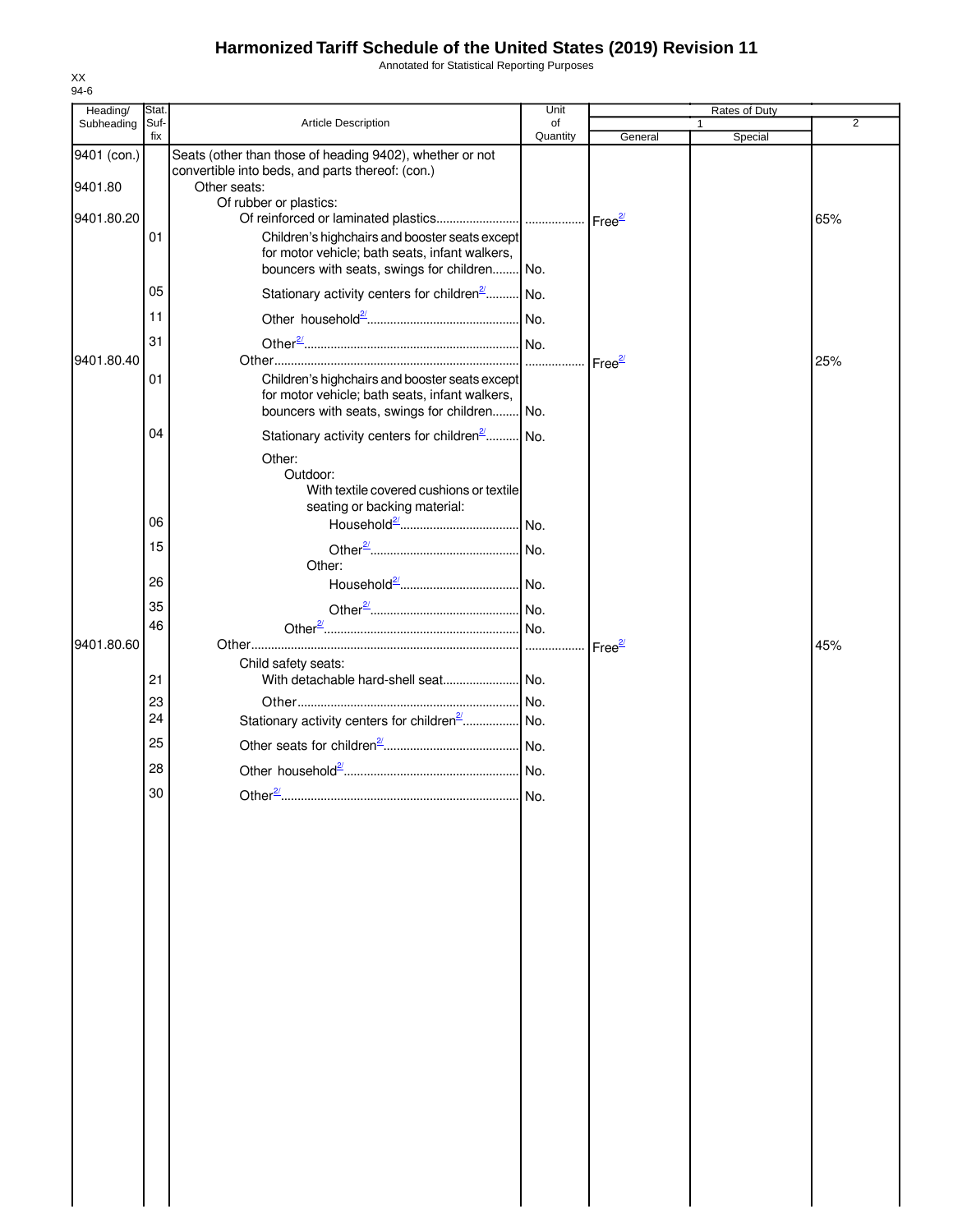Annotated for Statistical Reporting Purposes

| Heading/               | Stat.       |                                                                                                                                                         | Unit           |                     | Rates of Duty           |                |
|------------------------|-------------|---------------------------------------------------------------------------------------------------------------------------------------------------------|----------------|---------------------|-------------------------|----------------|
| Subheading             | Suf-<br>fix | Article Description                                                                                                                                     | of<br>Quantity | General             | $\mathbf{1}$<br>Special | $\overline{2}$ |
| 9401 (con.)<br>9401.80 |             | Seats (other than those of heading 9402), whether or not<br>convertible into beds, and parts thereof: (con.)<br>Other seats:                            |                |                     |                         |                |
| 9401.80.20             | 01          | Of rubber or plastics:<br>Children's highchairs and booster seats except                                                                                |                |                     |                         | 65%            |
|                        | 05          | for motor vehicle; bath seats, infant walkers,<br>bouncers with seats, swings for children<br>Stationary activity centers for children <sup>2</sup> No. | I No.          |                     |                         |                |
|                        | 11          |                                                                                                                                                         |                |                     |                         |                |
| 9401.80.40             | 31          |                                                                                                                                                         |                | Free $\frac{27}{2}$ |                         | 25%            |
|                        | 01          | Children's highchairs and booster seats except<br>for motor vehicle; bath seats, infant walkers,<br>bouncers with seats, swings for children No.        |                |                     |                         |                |
|                        | 04          | Stationary activity centers for children <sup>2</sup> No.<br>Other:<br>Outdoor:<br>With textile covered cushions or textile                             |                |                     |                         |                |
|                        | 06          | seating or backing material:                                                                                                                            |                |                     |                         |                |
|                        | 15          |                                                                                                                                                         |                |                     |                         |                |
|                        | 26          | Other:                                                                                                                                                  |                |                     |                         |                |
|                        | 35<br>46    |                                                                                                                                                         |                |                     |                         |                |
| 9401.80.60             |             | Child safety seats:                                                                                                                                     |                | Free <sup>2/</sup>  |                         | 45%            |
|                        | 21<br>23    |                                                                                                                                                         |                |                     |                         |                |
|                        | 24<br>25    | Stationary activity centers for children <sup>2</sup>   No.                                                                                             |                |                     |                         |                |
|                        | 28          |                                                                                                                                                         |                |                     |                         |                |
|                        | 30          | Other $\frac{27}{2}$                                                                                                                                    | No.            |                     |                         |                |
|                        |             |                                                                                                                                                         |                |                     |                         |                |
|                        |             |                                                                                                                                                         |                |                     |                         |                |
|                        |             |                                                                                                                                                         |                |                     |                         |                |
|                        |             |                                                                                                                                                         |                |                     |                         |                |
|                        |             |                                                                                                                                                         |                |                     |                         |                |
|                        |             |                                                                                                                                                         |                |                     |                         |                |
|                        |             |                                                                                                                                                         |                |                     |                         |                |
|                        |             |                                                                                                                                                         |                |                     |                         |                |
|                        |             |                                                                                                                                                         |                |                     |                         |                |
|                        |             |                                                                                                                                                         |                |                     |                         |                |
|                        |             |                                                                                                                                                         |                |                     |                         |                |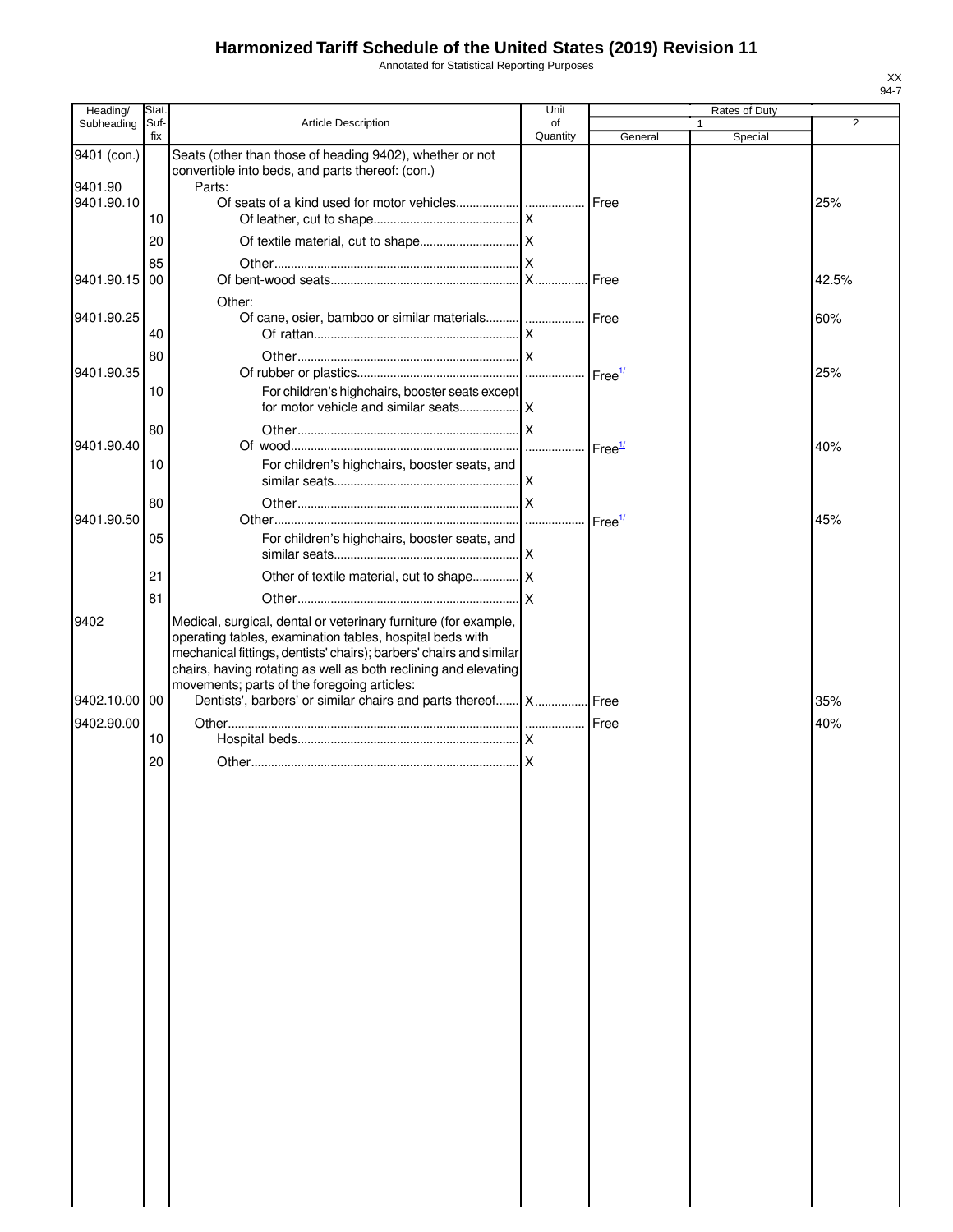Annotated for Statistical Reporting Purposes

| Heading/              | Stat.       |                                                                                                                                        | Unit           |         | Rates of Duty |                |
|-----------------------|-------------|----------------------------------------------------------------------------------------------------------------------------------------|----------------|---------|---------------|----------------|
| Subheading            | Suf-<br>fix | Article Description                                                                                                                    | of<br>Quantity | General | Special       | $\overline{2}$ |
| 9401 (con.)           |             | Seats (other than those of heading 9402), whether or not<br>convertible into beds, and parts thereof: (con.)                           |                |         |               |                |
| 9401.90<br>9401.90.10 |             | Parts:                                                                                                                                 |                |         |               | 25%            |
|                       | 10<br>20    |                                                                                                                                        |                |         |               |                |
| 9401.90.15 00         | 85          |                                                                                                                                        |                |         |               | 42.5%          |
| 9401.90.25            |             | Other:<br>Of cane, osier, bamboo or similar materials  Free                                                                            |                |         |               | 60%            |
|                       | 40<br>80    |                                                                                                                                        |                |         |               |                |
| 9401.90.35            |             |                                                                                                                                        |                |         |               | 25%            |
|                       | 10          | For children's highchairs, booster seats except                                                                                        |                |         |               |                |
| 9401.90.40            | 80          |                                                                                                                                        |                |         |               | 40%            |
|                       | 10          | For children's highchairs, booster seats, and                                                                                          |                |         |               |                |
| 9401.90.50            | 80          |                                                                                                                                        |                |         |               | 45%            |
|                       | 05          | For children's highchairs, booster seats, and                                                                                          |                |         |               |                |
|                       | 21<br>81    |                                                                                                                                        |                |         |               |                |
| 9402                  |             | Medical, surgical, dental or veterinary furniture (for example,<br>operating tables, examination tables, hospital beds with            |                |         |               |                |
|                       |             | mechanical fittings, dentists' chairs); barbers' chairs and similar<br>chairs, having rotating as well as both reclining and elevating |                |         |               |                |
| 9402.10.00 00         |             | movements; parts of the foregoing articles:<br>Dentists', barbers' or similar chairs and parts thereof X Free                          |                |         |               | 35%            |
| 9402.90.00            | 10          |                                                                                                                                        |                |         |               | 40%            |
|                       | 20          |                                                                                                                                        |                |         |               |                |
|                       |             |                                                                                                                                        |                |         |               |                |
|                       |             |                                                                                                                                        |                |         |               |                |
|                       |             |                                                                                                                                        |                |         |               |                |
|                       |             |                                                                                                                                        |                |         |               |                |
|                       |             |                                                                                                                                        |                |         |               |                |
|                       |             |                                                                                                                                        |                |         |               |                |
|                       |             |                                                                                                                                        |                |         |               |                |
|                       |             |                                                                                                                                        |                |         |               |                |
|                       |             |                                                                                                                                        |                |         |               |                |
|                       |             |                                                                                                                                        |                |         |               |                |
|                       |             |                                                                                                                                        |                |         |               |                |
|                       |             |                                                                                                                                        |                |         |               |                |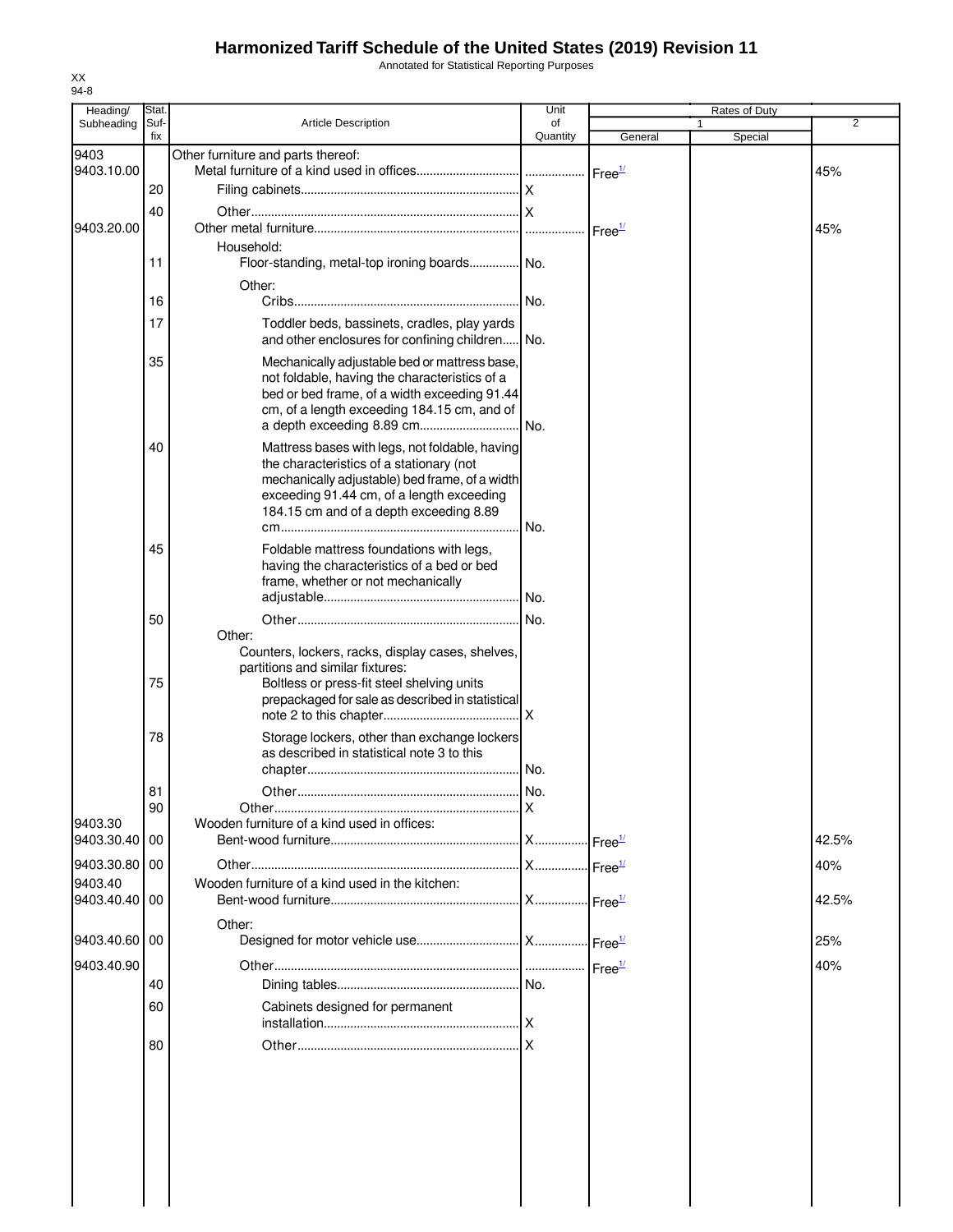Annotated for Statistical Reporting Purposes

| Heading/              | Stat.       |                                                                                                                                                                                                                                      | Unit           |                    | Rates of Duty |                |
|-----------------------|-------------|--------------------------------------------------------------------------------------------------------------------------------------------------------------------------------------------------------------------------------------|----------------|--------------------|---------------|----------------|
| Subheading            | Suf-<br>fix | <b>Article Description</b>                                                                                                                                                                                                           | of<br>Quantity | General            | 1<br>Special  | $\overline{2}$ |
| 9403                  |             | Other furniture and parts thereof:                                                                                                                                                                                                   |                |                    |               |                |
| 9403.10.00            |             |                                                                                                                                                                                                                                      |                | Free <sup>1/</sup> |               | 45%            |
|                       | 20          |                                                                                                                                                                                                                                      |                |                    |               |                |
| 9403.20.00            | 40          |                                                                                                                                                                                                                                      |                |                    |               | 45%            |
|                       | 11          | Household:<br>Floor-standing, metal-top ironing boards No.                                                                                                                                                                           |                |                    |               |                |
|                       | 16          | Other:                                                                                                                                                                                                                               | I No.          |                    |               |                |
|                       | 17          | Toddler beds, bassinets, cradles, play yards<br>and other enclosures for confining children No.                                                                                                                                      |                |                    |               |                |
|                       | 35          | Mechanically adjustable bed or mattress base,<br>not foldable, having the characteristics of a<br>bed or bed frame, of a width exceeding 91.44<br>cm, of a length exceeding 184.15 cm, and of                                        |                |                    |               |                |
|                       | 40          | Mattress bases with legs, not foldable, having<br>the characteristics of a stationary (not<br>mechanically adjustable) bed frame, of a width<br>exceeding 91.44 cm, of a length exceeding<br>184.15 cm and of a depth exceeding 8.89 |                |                    |               |                |
|                       | 45          | Foldable mattress foundations with legs,<br>having the characteristics of a bed or bed<br>frame, whether or not mechanically                                                                                                         |                |                    |               |                |
|                       | 50          | Other:<br>Counters, lockers, racks, display cases, shelves,                                                                                                                                                                          |                |                    |               |                |
|                       | 75          | partitions and similar fixtures:<br>Boltless or press-fit steel shelving units<br>prepackaged for sale as described in statistical                                                                                                   |                |                    |               |                |
|                       | 78          | Storage lockers, other than exchange lockers<br>as described in statistical note 3 to this                                                                                                                                           |                |                    |               |                |
|                       | 81          |                                                                                                                                                                                                                                      |                |                    |               |                |
|                       | 90          |                                                                                                                                                                                                                                      |                |                    |               |                |
| 9403.30<br>9403.30.40 | 00          | Wooden furniture of a kind used in offices:                                                                                                                                                                                          |                |                    |               | 42.5%          |
| 9403.30.80            | 00          |                                                                                                                                                                                                                                      |                |                    |               | 40%            |
| 9403.40<br>9403.40.40 | 00          | Wooden furniture of a kind used in the kitchen:                                                                                                                                                                                      |                |                    |               | 42.5%          |
|                       |             | Other:                                                                                                                                                                                                                               |                |                    |               |                |
| 9403.40.60            | 00          |                                                                                                                                                                                                                                      |                |                    |               | 25%            |
| 9403.40.90            |             |                                                                                                                                                                                                                                      |                | Free <sup>1/</sup> |               | 40%            |
|                       | 40          |                                                                                                                                                                                                                                      |                |                    |               |                |
|                       | 60          | Cabinets designed for permanent                                                                                                                                                                                                      |                |                    |               |                |
|                       | 80          |                                                                                                                                                                                                                                      |                |                    |               |                |
|                       |             |                                                                                                                                                                                                                                      |                |                    |               |                |
|                       |             |                                                                                                                                                                                                                                      |                |                    |               |                |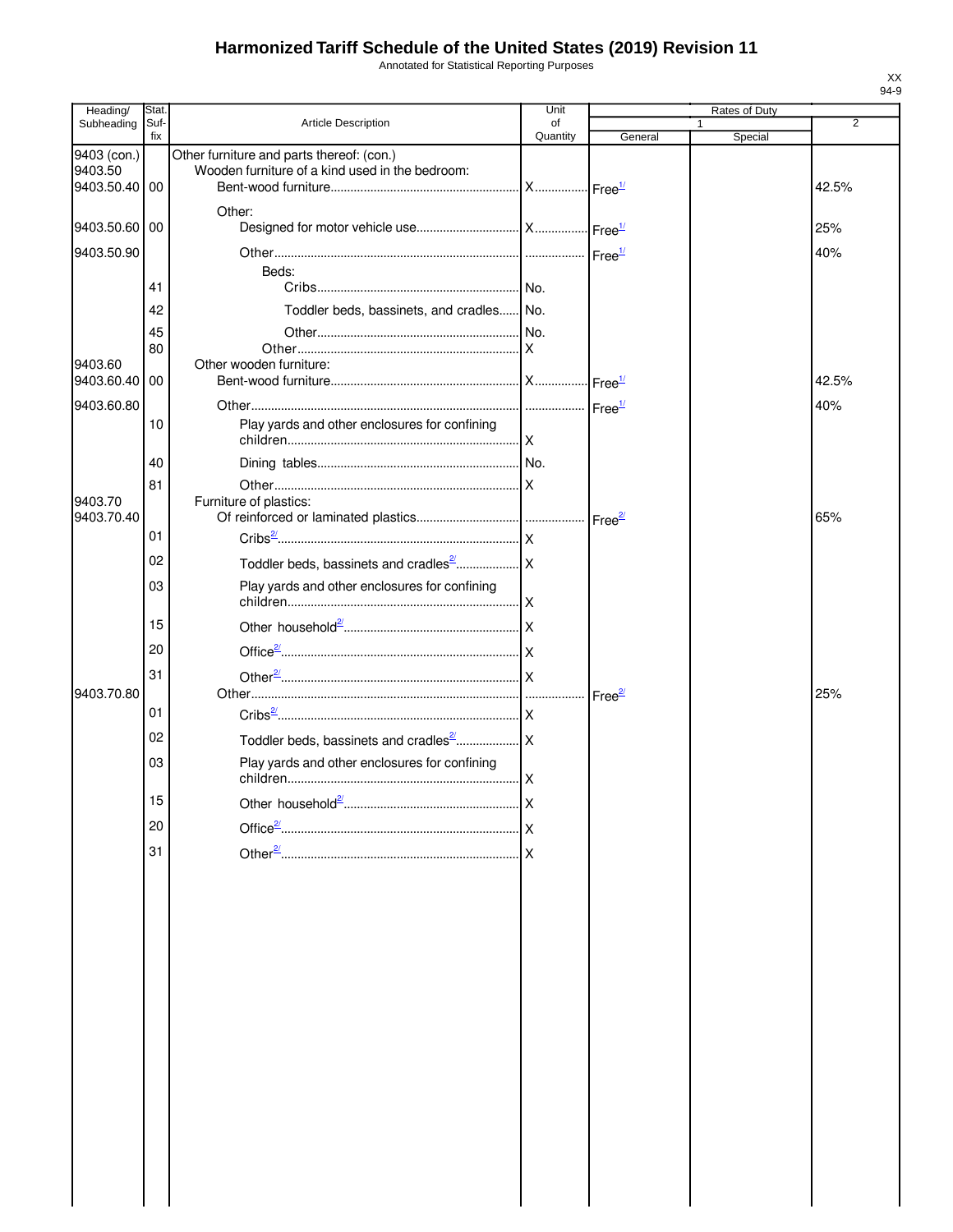Annotated for Statistical Reporting Purposes

| Heading/                                | Stat.       |                                                                                              | Unit           |         | Rates of Duty |                |
|-----------------------------------------|-------------|----------------------------------------------------------------------------------------------|----------------|---------|---------------|----------------|
| Subheading                              | Suf-<br>fix | <b>Article Description</b>                                                                   | of<br>Quantity | General | Special       | $\overline{2}$ |
| 9403 (con.)<br>9403.50<br>9403.50.40 00 |             | Other furniture and parts thereof: (con.)<br>Wooden furniture of a kind used in the bedroom: |                |         |               | 42.5%          |
| 9403.50.60 00                           |             | Other:                                                                                       |                |         |               | 25%            |
| 9403.50.90                              |             |                                                                                              |                |         |               | 40%            |
|                                         | 41          | Beds:                                                                                        |                |         |               |                |
|                                         | 42          | Toddler beds, bassinets, and cradles No.                                                     |                |         |               |                |
|                                         |             |                                                                                              |                |         |               |                |
|                                         | 45<br>80    |                                                                                              |                |         |               |                |
| 9403.60                                 |             | Other wooden furniture:                                                                      |                |         |               |                |
| 9403.60.40                              | 00          |                                                                                              |                |         |               | 42.5%          |
| 9403.60.80                              |             |                                                                                              |                |         |               | 40%            |
|                                         | 10          | Play yards and other enclosures for confining                                                |                |         |               |                |
|                                         | 40          |                                                                                              |                |         |               |                |
| 9403.70<br>9403.70.40                   | 81          | Furniture of plastics:                                                                       |                |         |               | 65%            |
|                                         | 01          |                                                                                              |                |         |               |                |
|                                         | 02          |                                                                                              |                |         |               |                |
|                                         |             |                                                                                              |                |         |               |                |
|                                         | 03          | Play yards and other enclosures for confining                                                |                |         |               |                |
|                                         | 15          |                                                                                              |                |         |               |                |
|                                         | 20          |                                                                                              |                |         |               |                |
|                                         | 31          |                                                                                              |                |         |               |                |
| 9403.70.80                              |             |                                                                                              |                |         |               | 25%            |
|                                         | 01          |                                                                                              |                |         |               |                |
|                                         | 02          |                                                                                              |                |         |               |                |
|                                         | 03          | Play yards and other enclosures for confining                                                |                |         |               |                |
|                                         | 15          |                                                                                              |                |         |               |                |
|                                         | 20          |                                                                                              |                |         |               |                |
|                                         |             |                                                                                              |                |         |               |                |
|                                         | 31          |                                                                                              |                |         |               |                |
|                                         |             |                                                                                              |                |         |               |                |
|                                         |             |                                                                                              |                |         |               |                |
|                                         |             |                                                                                              |                |         |               |                |
|                                         |             |                                                                                              |                |         |               |                |
|                                         |             |                                                                                              |                |         |               |                |
|                                         |             |                                                                                              |                |         |               |                |
|                                         |             |                                                                                              |                |         |               |                |
|                                         |             |                                                                                              |                |         |               |                |
|                                         |             |                                                                                              |                |         |               |                |
|                                         |             |                                                                                              |                |         |               |                |
|                                         |             |                                                                                              |                |         |               |                |
|                                         |             |                                                                                              |                |         |               |                |
|                                         |             |                                                                                              |                |         |               |                |
|                                         |             |                                                                                              |                |         |               |                |
|                                         |             |                                                                                              |                |         |               |                |
|                                         |             |                                                                                              |                |         |               |                |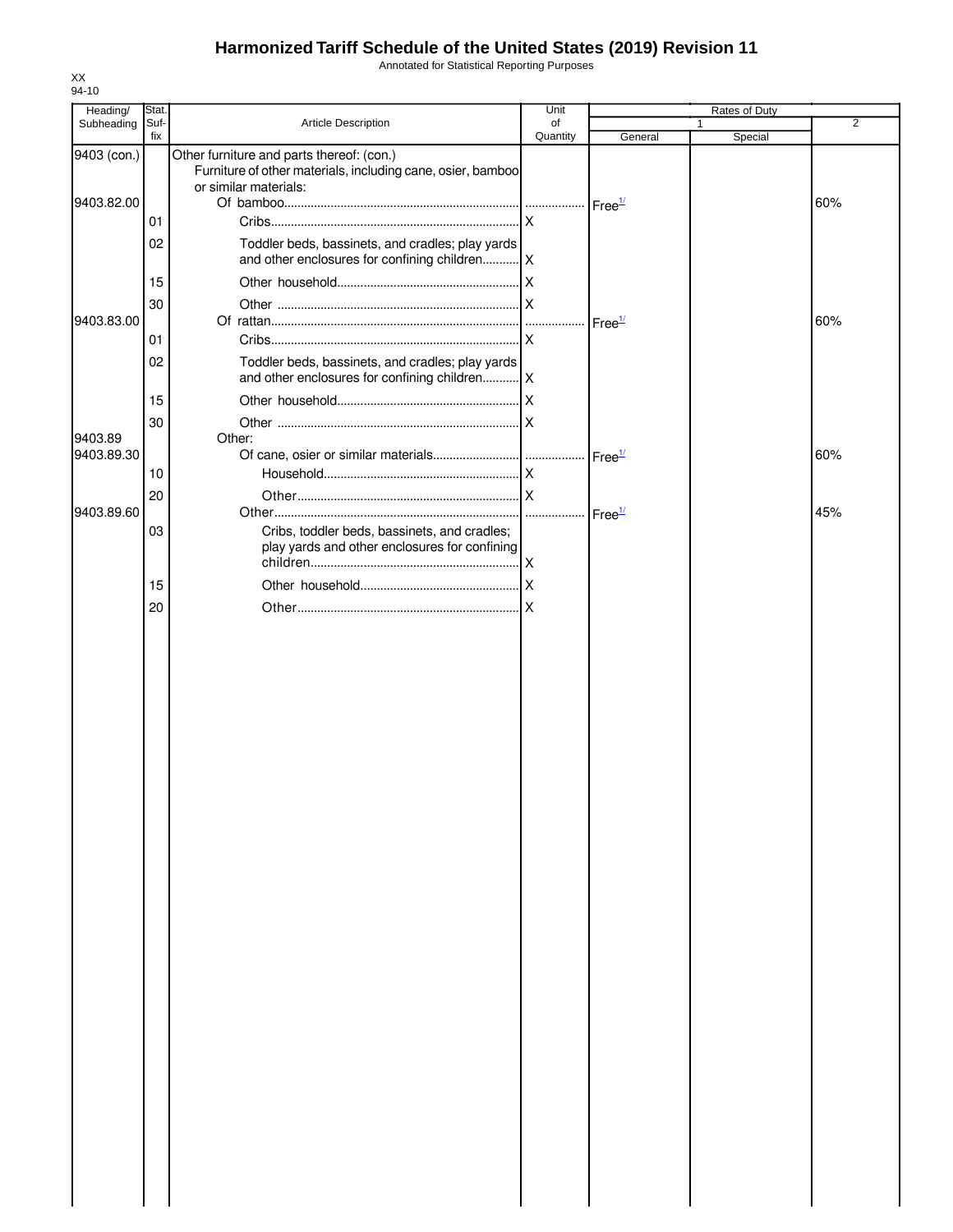Annotated for Statistical Reporting Purposes

| Heading/    | Stat.       |                                                                                                                                   | Unit           |                    | Rates of Duty |                |
|-------------|-------------|-----------------------------------------------------------------------------------------------------------------------------------|----------------|--------------------|---------------|----------------|
| Subheading  | Suf-<br>fix | Article Description                                                                                                               | of<br>Quantity | General            | 1<br>Special  | $\overline{2}$ |
| 9403 (con.) |             | Other furniture and parts thereof: (con.)<br>Furniture of other materials, including cane, osier, bamboo<br>or similar materials: |                |                    |               |                |
| 9403.82.00  |             |                                                                                                                                   |                |                    |               | 60%            |
|             | 01          |                                                                                                                                   |                |                    |               |                |
|             | 02          | Toddler beds, bassinets, and cradles; play yards                                                                                  |                |                    |               |                |
|             | 15          |                                                                                                                                   |                |                    |               |                |
| 9403.83.00  | 30          |                                                                                                                                   |                | Free <sup>1/</sup> |               | 60%            |
|             | 01          |                                                                                                                                   |                |                    |               |                |
|             | 02          | Toddler beds, bassinets, and cradles; play yards<br>and other enclosures for confining children   X                               |                |                    |               |                |
|             | 15          |                                                                                                                                   |                |                    |               |                |
|             | 30          |                                                                                                                                   |                |                    |               |                |
| 9403.89     |             | Other:                                                                                                                            |                |                    |               |                |
| 9403.89.30  |             |                                                                                                                                   |                | Free <sup>1/</sup> |               | 60%            |
|             | 10          |                                                                                                                                   |                |                    |               |                |
|             | 20          |                                                                                                                                   |                |                    |               |                |
| 9403.89.60  | 03          | Cribs, toddler beds, bassinets, and cradles;<br>play yards and other enclosures for confining                                     |                | Free <sup>1/</sup> |               | 45%            |
|             | 15          |                                                                                                                                   |                |                    |               |                |
|             | 20          |                                                                                                                                   |                |                    |               |                |
|             |             |                                                                                                                                   |                |                    |               |                |
|             |             |                                                                                                                                   |                |                    |               |                |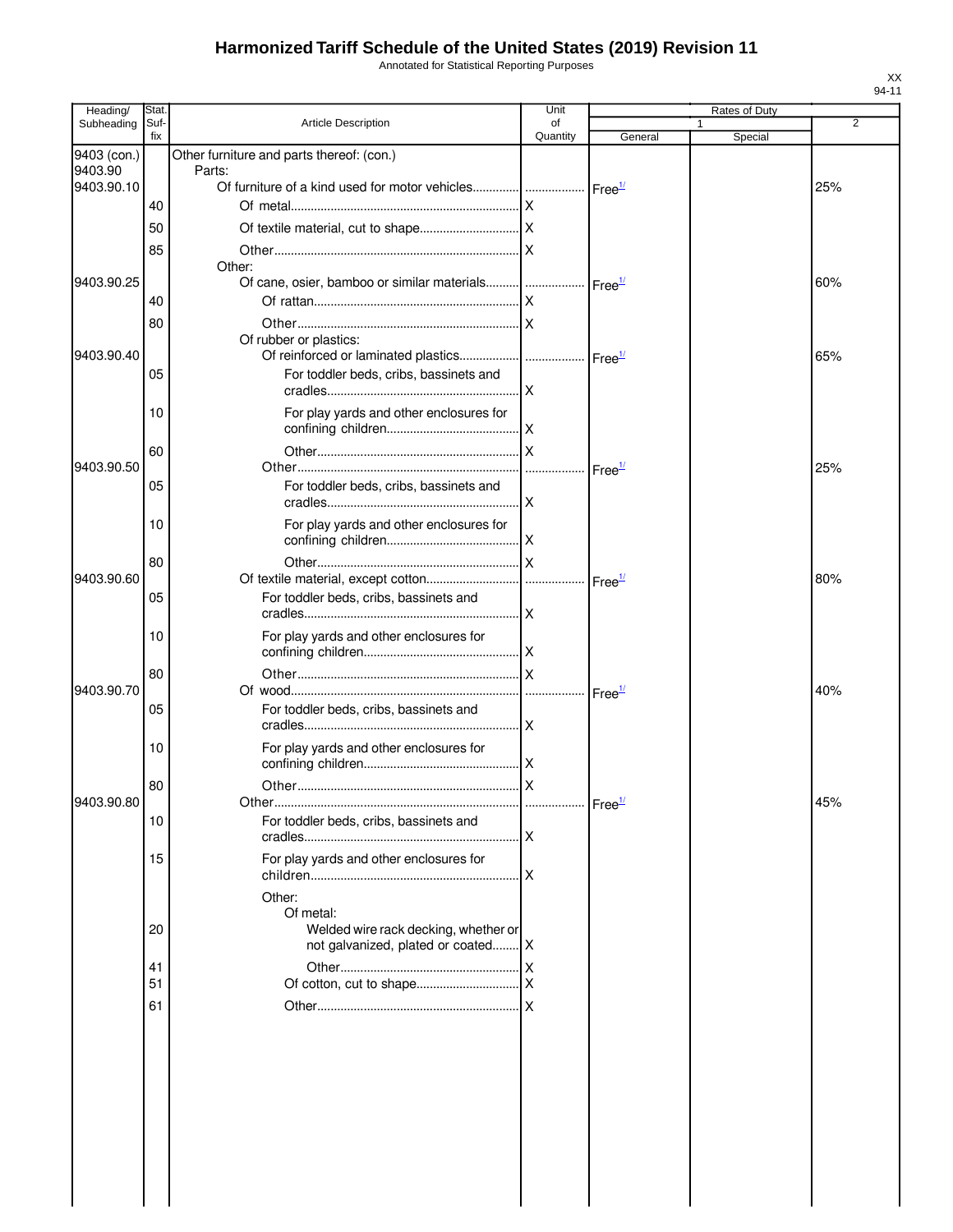Annotated for Statistical Reporting Purposes

| Heading/    | Stat.       |                                                                                         | Unit           |         | Rates of Duty           |     |
|-------------|-------------|-----------------------------------------------------------------------------------------|----------------|---------|-------------------------|-----|
| Subheading  | Suf-<br>fix | <b>Article Description</b>                                                              | of<br>Quantity | General | $\mathbf{1}$<br>Special | 2   |
| 9403 (con.) |             | Other furniture and parts thereof: (con.)                                               |                |         |                         |     |
| 9403.90     |             | Parts:                                                                                  |                |         |                         |     |
| 9403.90.10  |             | Of furniture of a kind used for motor vehicles   Free <sup>1/</sup>                     |                |         |                         | 25% |
|             | 40          |                                                                                         |                |         |                         |     |
|             | 50          |                                                                                         |                |         |                         |     |
|             | 85          |                                                                                         |                |         |                         |     |
| 9403.90.25  |             | Other:<br>Of cane, osier, bamboo or similar materials   Free <sup>1/</sup>              |                |         |                         | 60% |
|             | 40          |                                                                                         |                |         |                         |     |
|             | 80          |                                                                                         |                |         |                         |     |
|             |             | Of rubber or plastics:                                                                  |                |         |                         |     |
| 9403.90.40  |             |                                                                                         |                |         |                         | 65% |
|             | 05          | For toddler beds, cribs, bassinets and                                                  |                |         |                         |     |
|             | 10          | For play yards and other enclosures for                                                 |                |         |                         |     |
|             | 60          |                                                                                         |                |         |                         |     |
| 9403.90.50  |             |                                                                                         |                |         |                         | 25% |
|             | 05          | For toddler beds, cribs, bassinets and                                                  |                |         |                         |     |
|             | 10          | For play yards and other enclosures for                                                 |                |         |                         |     |
|             |             |                                                                                         |                |         |                         |     |
|             | 80          |                                                                                         |                |         |                         |     |
| 9403.90.60  |             |                                                                                         |                |         |                         | 80% |
|             | 05          | For toddler beds, cribs, bassinets and                                                  |                |         |                         |     |
|             | 10          | For play yards and other enclosures for                                                 |                |         |                         |     |
|             | 80          |                                                                                         |                |         |                         |     |
| 9403.90.70  |             |                                                                                         |                |         |                         | 40% |
|             | 05          | For toddler beds, cribs, bassinets and                                                  |                |         |                         |     |
|             | 10          | For play yards and other enclosures for                                                 |                |         |                         |     |
|             | 80          |                                                                                         |                |         |                         |     |
| 9403.90.80  |             |                                                                                         |                |         |                         | 45% |
|             | 10          | For toddler beds, cribs, bassinets and                                                  |                |         |                         |     |
|             | 15          | For play yards and other enclosures for                                                 |                |         |                         |     |
|             |             | Other:                                                                                  |                |         |                         |     |
|             | 20          | Of metal:<br>Welded wire rack decking, whether or<br>not galvanized, plated or coated X |                |         |                         |     |
|             | 41          |                                                                                         |                |         |                         |     |
|             | 51          |                                                                                         |                |         |                         |     |
|             | 61          |                                                                                         |                |         |                         |     |
|             |             |                                                                                         |                |         |                         |     |
|             |             |                                                                                         |                |         |                         |     |
|             |             |                                                                                         |                |         |                         |     |
|             |             |                                                                                         |                |         |                         |     |
|             |             |                                                                                         |                |         |                         |     |
|             |             |                                                                                         |                |         |                         |     |
|             |             |                                                                                         |                |         |                         |     |
|             |             |                                                                                         |                |         |                         |     |
|             |             |                                                                                         |                |         |                         |     |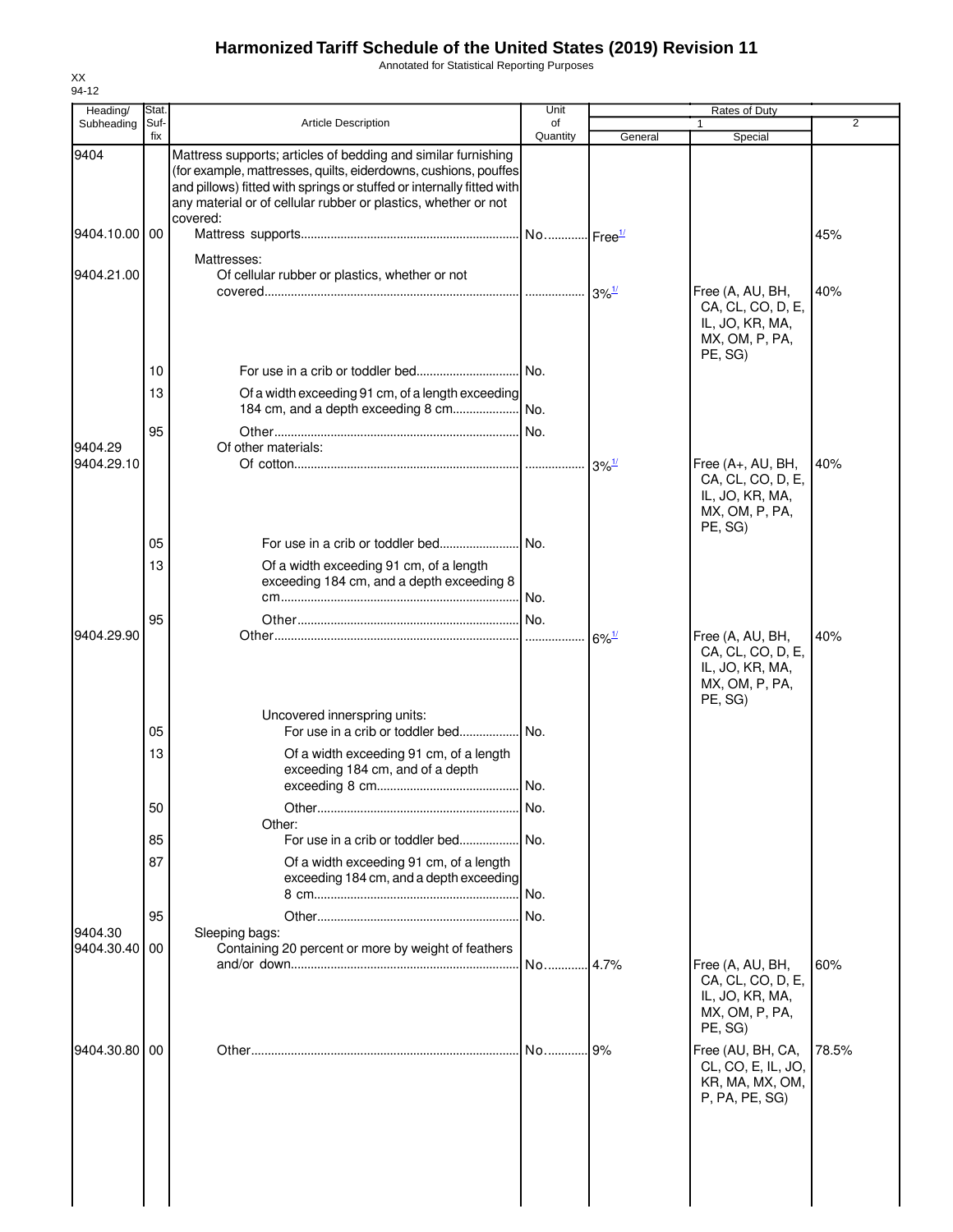Annotated for Statistical Reporting Purposes

| Heading/              | Stat.       |                                                                                                                                                                                                                                                                                         | Unit           |                     | Rates of Duty                                                                         |                |
|-----------------------|-------------|-----------------------------------------------------------------------------------------------------------------------------------------------------------------------------------------------------------------------------------------------------------------------------------------|----------------|---------------------|---------------------------------------------------------------------------------------|----------------|
| Subheading            | Suf-<br>fix | <b>Article Description</b>                                                                                                                                                                                                                                                              | of<br>Quantity | General             | $\mathbf{1}$<br>Special                                                               | $\overline{2}$ |
| 9404                  |             | Mattress supports; articles of bedding and similar furnishing<br>(for example, mattresses, quilts, eiderdowns, cushions, pouffes<br>and pillows) fitted with springs or stuffed or internally fitted with<br>any material or of cellular rubber or plastics, whether or not<br>covered: |                |                     |                                                                                       |                |
| 9404.10.00 00         |             |                                                                                                                                                                                                                                                                                         |                |                     |                                                                                       | 45%            |
| 9404.21.00            |             | Mattresses:<br>Of cellular rubber or plastics, whether or not                                                                                                                                                                                                                           |                |                     | Free (A, AU, BH,<br>CA, CL, CO, D, E,<br>IL, JO, KR, MA,<br>MX, OM, P, PA,<br>PE, SG) | 40%            |
|                       | 10          |                                                                                                                                                                                                                                                                                         |                |                     |                                                                                       |                |
|                       | 13          | Of a width exceeding 91 cm, of a length exceeding                                                                                                                                                                                                                                       |                |                     |                                                                                       |                |
|                       | 95          |                                                                                                                                                                                                                                                                                         |                |                     |                                                                                       |                |
| 9404.29<br>9404.29.10 |             | Of other materials:                                                                                                                                                                                                                                                                     |                |                     | Free (A+, AU, BH,                                                                     | 40%            |
|                       |             |                                                                                                                                                                                                                                                                                         |                |                     | CA, CL, CO, D, E,<br>IL, JO, KR, MA,<br>MX, OM, P, PA,<br>PE, SG)                     |                |
|                       | 05          |                                                                                                                                                                                                                                                                                         |                |                     |                                                                                       |                |
|                       | 13          | Of a width exceeding 91 cm, of a length<br>exceeding 184 cm, and a depth exceeding 8                                                                                                                                                                                                    | I No.          |                     |                                                                                       |                |
| 9404.29.90            | 95          |                                                                                                                                                                                                                                                                                         |                | $6\%$ <sup>1/</sup> | Free (A, AU, BH,<br>CA, CL, CO, D, E,<br>IL, JO, KR, MA,<br>MX, OM, P, PA,<br>PE, SG) | 40%            |
|                       |             | Uncovered innerspring units:                                                                                                                                                                                                                                                            |                |                     |                                                                                       |                |
|                       | 05<br>13    | For use in a crib or toddler bed No.<br>Of a width exceeding 91 cm, of a length<br>exceeding 184 cm, and of a depth                                                                                                                                                                     |                |                     |                                                                                       |                |
|                       |             |                                                                                                                                                                                                                                                                                         |                |                     |                                                                                       |                |
|                       | 50          |                                                                                                                                                                                                                                                                                         | No.            |                     |                                                                                       |                |
|                       | 85          | Other:                                                                                                                                                                                                                                                                                  |                |                     |                                                                                       |                |
|                       | 87          | Of a width exceeding 91 cm, of a length<br>exceeding 184 cm, and a depth exceeding                                                                                                                                                                                                      |                |                     |                                                                                       |                |
|                       |             |                                                                                                                                                                                                                                                                                         | No.            |                     |                                                                                       |                |
| 9404.30               | 95          | Sleeping bags:                                                                                                                                                                                                                                                                          |                |                     |                                                                                       |                |
| 9404.30.40 00         |             | Containing 20 percent or more by weight of feathers                                                                                                                                                                                                                                     | No             | 4.7%                | Free (A, AU, BH,                                                                      | 60%            |
|                       |             |                                                                                                                                                                                                                                                                                         |                |                     | CA, CL, CO, D, E,<br>IL, JO, KR, MA,<br>MX, OM, P, PA,<br>PE, SG)                     |                |
| 9404.30.80 00         |             |                                                                                                                                                                                                                                                                                         | $No$           | 9%                  | Free (AU, BH, CA,<br>CL, CO, E, IL, JO,<br>KR, MA, MX, OM,<br>P, PA, PE, SG)          | 78.5%          |
|                       |             |                                                                                                                                                                                                                                                                                         |                |                     |                                                                                       |                |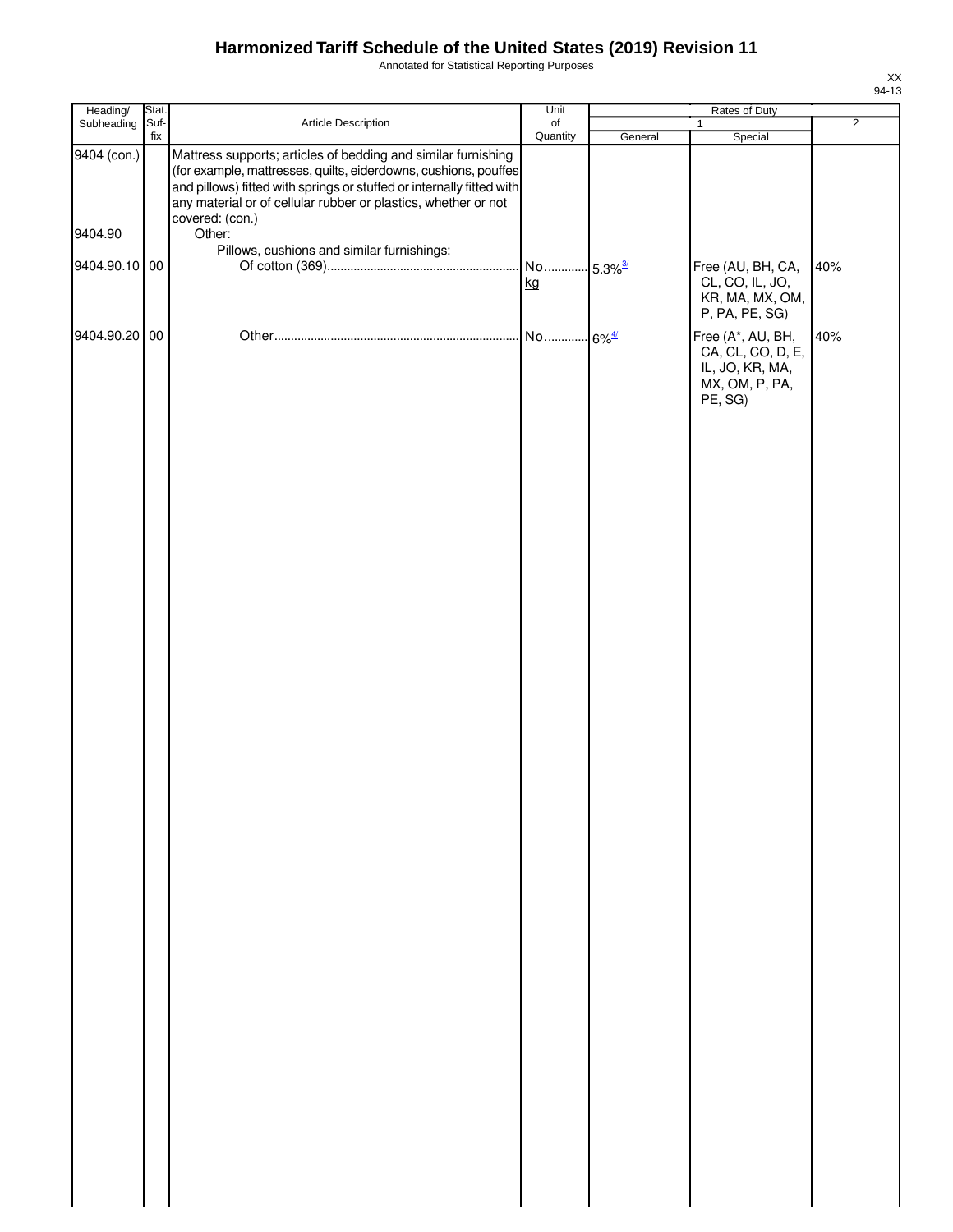Annotated for Statistical Reporting Purposes

| Heading/      | Stat.       |                                                                                                                                                                                                                                                                                                | Unit                        |         | Rates of Duty                                                                          |                |
|---------------|-------------|------------------------------------------------------------------------------------------------------------------------------------------------------------------------------------------------------------------------------------------------------------------------------------------------|-----------------------------|---------|----------------------------------------------------------------------------------------|----------------|
| Subheading    | Suf-<br>fix | Article Description                                                                                                                                                                                                                                                                            | o <sub>f</sub><br>Quantity  | General | 1<br>Special                                                                           | $\overline{2}$ |
| 9404 (con.)   |             | Mattress supports; articles of bedding and similar furnishing<br>(for example, mattresses, quilts, eiderdowns, cushions, pouffes<br>and pillows) fitted with springs or stuffed or internally fitted with<br>any material or of cellular rubber or plastics, whether or not<br>covered: (con.) |                             |         |                                                                                        |                |
| 9404.90       |             | Other:                                                                                                                                                                                                                                                                                         |                             |         |                                                                                        |                |
| 9404.90.10 00 |             | Pillows, cushions and similar furnishings:                                                                                                                                                                                                                                                     | No 5.3% <sup>3/</sup><br>kg |         | Free (AU, BH, CA,<br>CL, CO, IL, JO,<br>KR, MA, MX, OM,                                | 40%            |
|               |             |                                                                                                                                                                                                                                                                                                |                             |         | P, PA, PE, SG)                                                                         |                |
| 9404.90.20 00 |             |                                                                                                                                                                                                                                                                                                |                             |         | Free (A*, AU, BH,<br>CA, CL, CO, D, E,<br>IL, JO, KR, MA,<br>MX, OM, P, PA,<br>PE, SG) | 40%            |
|               |             |                                                                                                                                                                                                                                                                                                |                             |         |                                                                                        |                |
|               |             |                                                                                                                                                                                                                                                                                                |                             |         |                                                                                        |                |
|               |             |                                                                                                                                                                                                                                                                                                |                             |         |                                                                                        |                |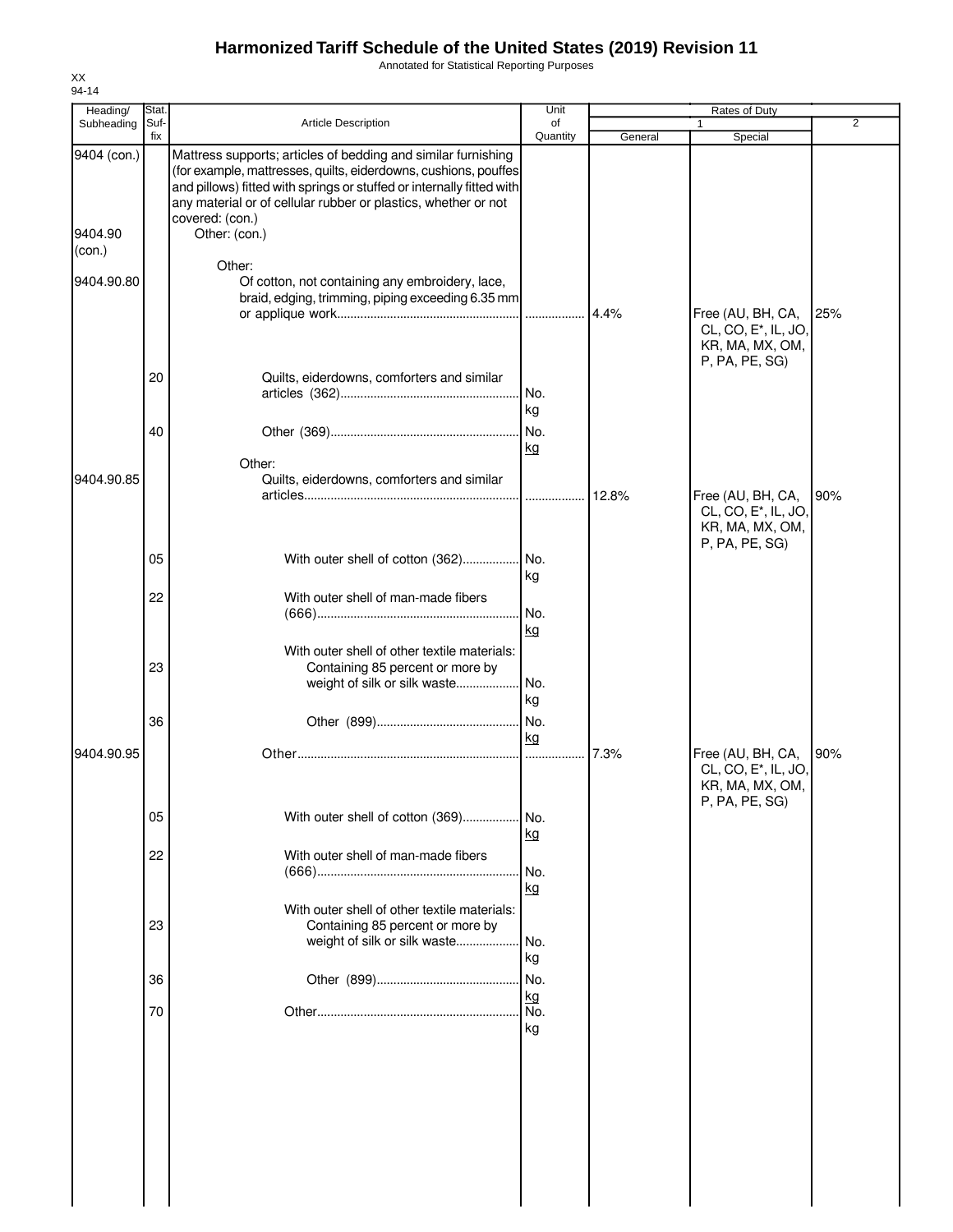Annotated for Statistical Reporting Purposes

| Heading/                         | Stat.       |                                                                                                                                                                                                                                                                                                                           | Unit             |         | Rates of Duty                                                                              |     |
|----------------------------------|-------------|---------------------------------------------------------------------------------------------------------------------------------------------------------------------------------------------------------------------------------------------------------------------------------------------------------------------------|------------------|---------|--------------------------------------------------------------------------------------------|-----|
| Subheading                       | Suf-<br>fix | <b>Article Description</b>                                                                                                                                                                                                                                                                                                | of<br>Quantity   | General | 1<br>Special                                                                               | 2   |
| 9404 (con.)<br>9404.90<br>(con.) |             | Mattress supports; articles of bedding and similar furnishing<br>(for example, mattresses, quilts, eiderdowns, cushions, pouffes<br>and pillows) fitted with springs or stuffed or internally fitted with<br>any material or of cellular rubber or plastics, whether or not<br>covered: (con.)<br>Other: (con.)<br>Other: |                  |         |                                                                                            |     |
| 9404.90.80                       |             | Of cotton, not containing any embroidery, lace,<br>braid, edging, trimming, piping exceeding 6.35 mm                                                                                                                                                                                                                      |                  | 4.4%    | Free (AU, BH, CA,<br>CL, CO, E <sup>*</sup> , IL, JO,<br>KR, MA, MX, OM,<br>P, PA, PE, SG) | 25% |
|                                  | 20          | Quilts, eiderdowns, comforters and similar                                                                                                                                                                                                                                                                                | No.<br>kg        |         |                                                                                            |     |
| 9404.90.85                       | 40          | Other:<br>Quilts, eiderdowns, comforters and similar                                                                                                                                                                                                                                                                      | No.<br>kg        |         |                                                                                            |     |
|                                  |             |                                                                                                                                                                                                                                                                                                                           |                  | 12.8%   | Free (AU, BH, CA,<br>CL, CO, E <sup>*</sup> , IL, JO,<br>KR, MA, MX, OM,<br>P, PA, PE, SG) | 90% |
|                                  | 05          | With outer shell of cotton (362) No.                                                                                                                                                                                                                                                                                      | kg               |         |                                                                                            |     |
|                                  | 22          | With outer shell of man-made fibers                                                                                                                                                                                                                                                                                       | No.<br>kg        |         |                                                                                            |     |
|                                  | 23          | With outer shell of other textile materials:<br>Containing 85 percent or more by<br>weight of silk or silk waste                                                                                                                                                                                                          | No.<br>kg        |         |                                                                                            |     |
|                                  | 36          |                                                                                                                                                                                                                                                                                                                           | No.<br>kg        |         |                                                                                            |     |
| 9404.90.95                       |             |                                                                                                                                                                                                                                                                                                                           | .                | 7.3%    | Free (AU, BH, CA,<br>CL, CO, E <sup>*</sup> , IL, JO,<br>KR, MA, MX, OM,<br>P, PA, PE, SG) | 90% |
|                                  | 05          | With outer shell of cotton (369)                                                                                                                                                                                                                                                                                          | No.<br><u>kg</u> |         |                                                                                            |     |
|                                  | 22          | With outer shell of man-made fibers                                                                                                                                                                                                                                                                                       | No.<br>kg        |         |                                                                                            |     |
|                                  | 23          | With outer shell of other textile materials:<br>Containing 85 percent or more by<br>weight of silk or silk waste                                                                                                                                                                                                          | No.<br>kg        |         |                                                                                            |     |
|                                  | 36          |                                                                                                                                                                                                                                                                                                                           | No.              |         |                                                                                            |     |
|                                  | 70          |                                                                                                                                                                                                                                                                                                                           | kg<br>No.<br>kg  |         |                                                                                            |     |
|                                  |             |                                                                                                                                                                                                                                                                                                                           |                  |         |                                                                                            |     |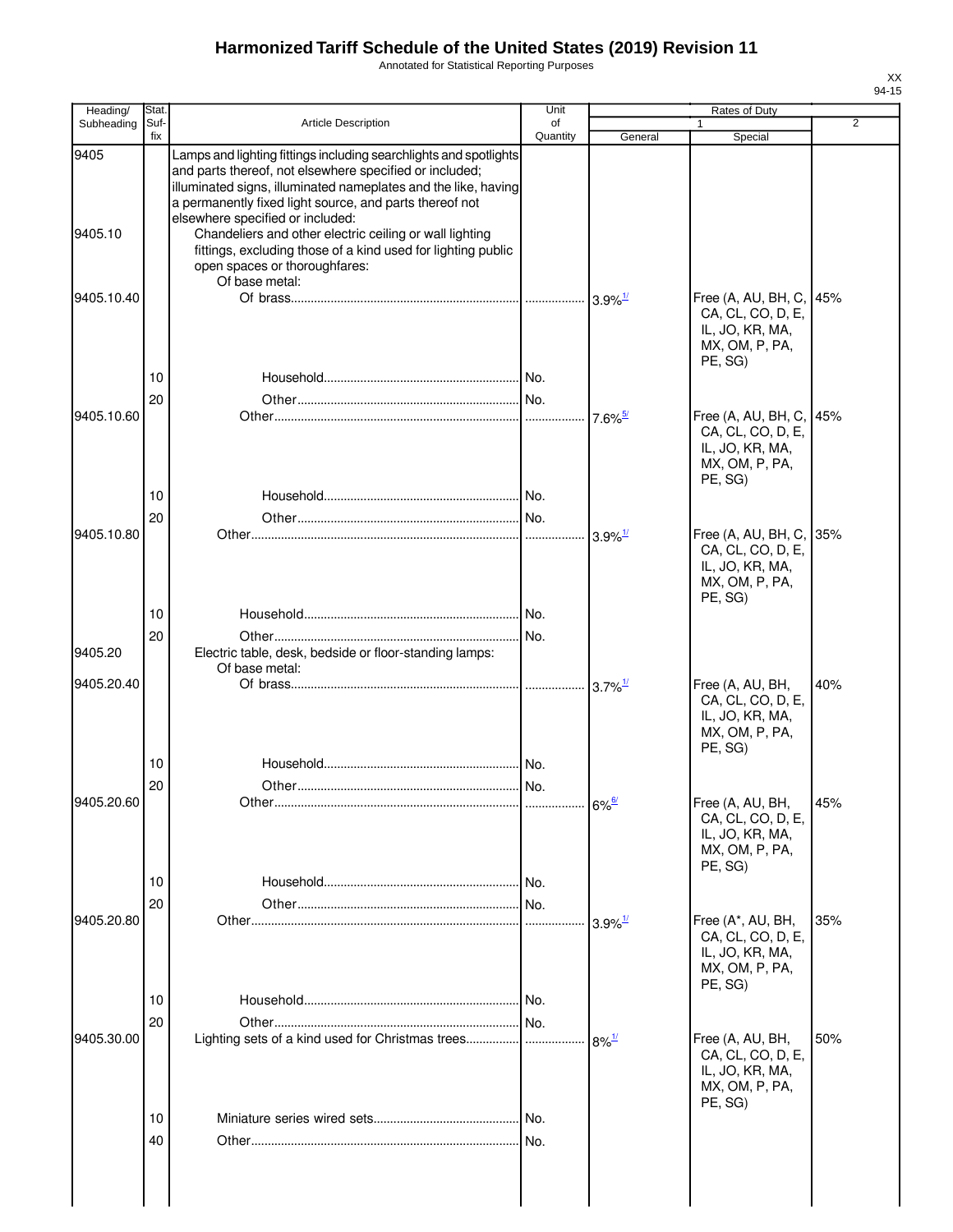Annotated for Statistical Reporting Purposes

| Heading/        | Stat.       |                                                                                                                                                                                                                                                                                                                                                                                                                                                                             | Unit           |                       | Rates of Duty                                                                                |                |
|-----------------|-------------|-----------------------------------------------------------------------------------------------------------------------------------------------------------------------------------------------------------------------------------------------------------------------------------------------------------------------------------------------------------------------------------------------------------------------------------------------------------------------------|----------------|-----------------------|----------------------------------------------------------------------------------------------|----------------|
| Subheading      | Suf-<br>fix | <b>Article Description</b>                                                                                                                                                                                                                                                                                                                                                                                                                                                  | of<br>Quantity | General               | 1<br>Special                                                                                 | $\overline{2}$ |
| 9405<br>9405.10 |             | Lamps and lighting fittings including searchlights and spotlights<br>and parts thereof, not elsewhere specified or included;<br>illuminated signs, illuminated nameplates and the like, having<br>a permanently fixed light source, and parts thereof not<br>elsewhere specified or included:<br>Chandeliers and other electric ceiling or wall lighting<br>fittings, excluding those of a kind used for lighting public<br>open spaces or thoroughfares:<br>Of base metal: |                |                       |                                                                                              |                |
| 9405.10.40      |             |                                                                                                                                                                                                                                                                                                                                                                                                                                                                             |                | $3.9\%$ <sup>1/</sup> | Free (A, AU, BH, C, 45%<br>CA, CL, CO, D, E,<br>IL, JO, KR, MA,<br>MX, OM, P, PA,<br>PE, SG) |                |
|                 | 10          |                                                                                                                                                                                                                                                                                                                                                                                                                                                                             |                |                       |                                                                                              |                |
| 9405.10.60      | 20          |                                                                                                                                                                                                                                                                                                                                                                                                                                                                             |                |                       |                                                                                              |                |
|                 | 10          |                                                                                                                                                                                                                                                                                                                                                                                                                                                                             |                | $7.6\%$ <sup>5/</sup> | Free (A, AU, BH, C, 45%<br>CA, CL, CO, D, E,<br>IL, JO, KR, MA,<br>MX, OM, P, PA,<br>PE, SG) |                |
|                 | 20          |                                                                                                                                                                                                                                                                                                                                                                                                                                                                             |                |                       |                                                                                              |                |
| 9405.10.80      |             |                                                                                                                                                                                                                                                                                                                                                                                                                                                                             |                | $3.9\%$ <sup>1/</sup> | Free (A, AU, BH, C, 35%<br>CA, CL, CO, D, E,<br>IL, JO, KR, MA,<br>MX, OM, P, PA,<br>PE, SG) |                |
|                 | 10          |                                                                                                                                                                                                                                                                                                                                                                                                                                                                             |                |                       |                                                                                              |                |
| 9405.20         | 20          | Electric table, desk, bedside or floor-standing lamps:                                                                                                                                                                                                                                                                                                                                                                                                                      |                |                       |                                                                                              |                |
|                 |             | Of base metal:                                                                                                                                                                                                                                                                                                                                                                                                                                                              |                |                       |                                                                                              |                |
| 9405.20.40      |             |                                                                                                                                                                                                                                                                                                                                                                                                                                                                             |                |                       | Free (A, AU, BH,<br>CA, CL, CO, D, E,<br>IL, JO, KR, MA,<br>MX, OM, P, PA,<br>PE, SG)        | 40%            |
|                 | 10          |                                                                                                                                                                                                                                                                                                                                                                                                                                                                             |                |                       |                                                                                              |                |
|                 | 20          |                                                                                                                                                                                                                                                                                                                                                                                                                                                                             |                |                       |                                                                                              |                |
| 9405.20.60      |             |                                                                                                                                                                                                                                                                                                                                                                                                                                                                             |                | $6\%$ <sup>6/</sup>   | Free (A, AU, BH,<br>CA, CL, CO, D, E,<br>IL, JO, KR, MA,<br>MX, OM, P, PA,<br>PE, SG)        | 45%            |
|                 | 10          |                                                                                                                                                                                                                                                                                                                                                                                                                                                                             |                |                       |                                                                                              |                |
|                 | 20          |                                                                                                                                                                                                                                                                                                                                                                                                                                                                             | No.            |                       |                                                                                              |                |
| 9405.20.80      | 10          |                                                                                                                                                                                                                                                                                                                                                                                                                                                                             | .              | $3.9\%$ <sup>1/</sup> | Free (A*, AU, BH,<br>CA, CL, CO, D, E,<br>IL, JO, KR, MA,<br>MX, OM, P, PA,<br>PE, SG)       | 35%            |
|                 | 20          |                                                                                                                                                                                                                                                                                                                                                                                                                                                                             |                |                       |                                                                                              |                |
| 9405.30.00      |             |                                                                                                                                                                                                                                                                                                                                                                                                                                                                             |                | $8\%$ <sup>1/</sup>   | Free (A, AU, BH,<br>CA, CL, CO, D, E,<br>IL, JO, KR, MA,<br>MX, OM, P, PA,<br>PE, SG)        | 50%            |
|                 | 10          |                                                                                                                                                                                                                                                                                                                                                                                                                                                                             | .I No.         |                       |                                                                                              |                |
|                 | 40          |                                                                                                                                                                                                                                                                                                                                                                                                                                                                             |                |                       |                                                                                              |                |
|                 |             |                                                                                                                                                                                                                                                                                                                                                                                                                                                                             |                |                       |                                                                                              |                |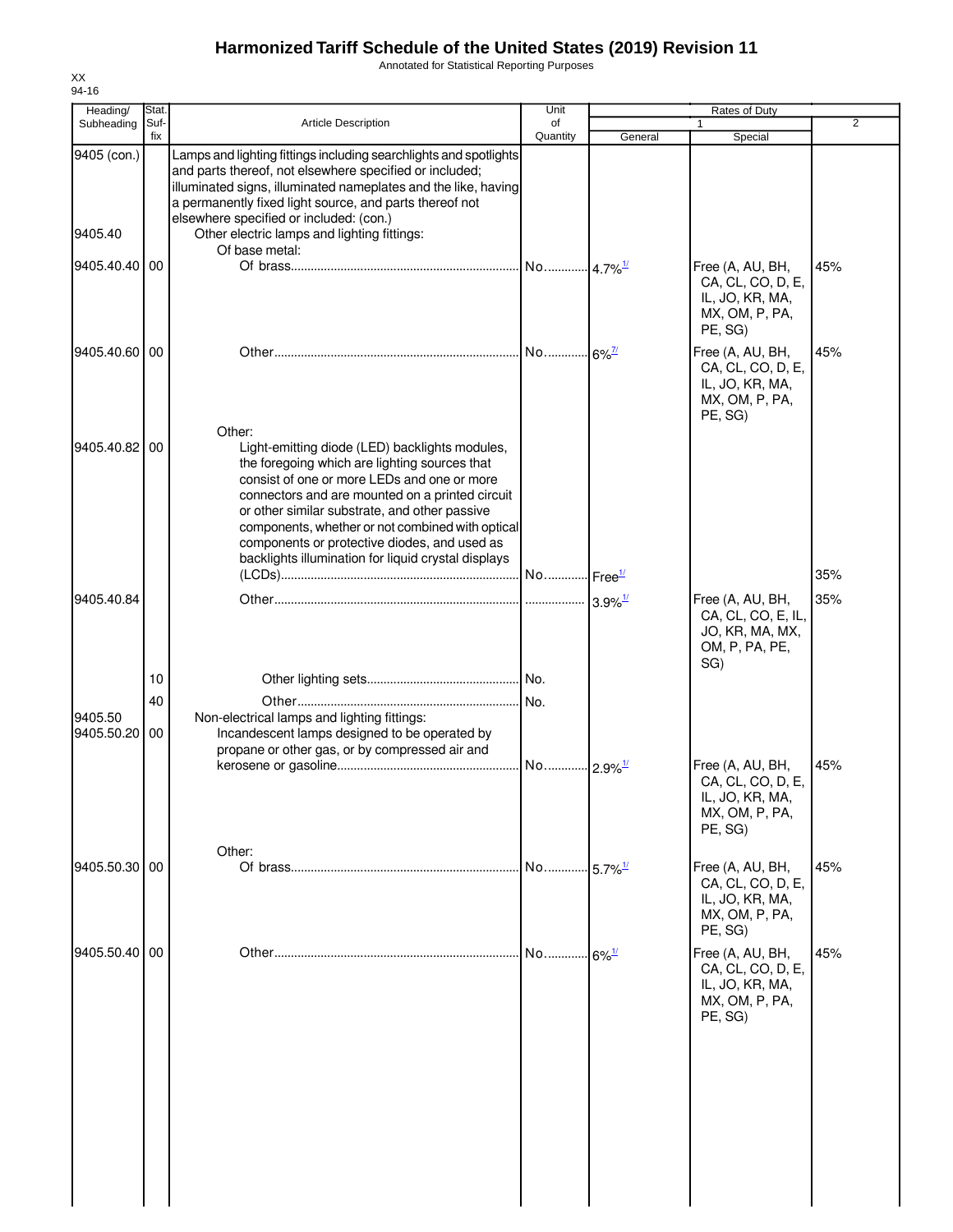Annotated for Statistical Reporting Purposes

|         | Heading/      | Stat.       |                                                                                                                                                                                                                                                                                                                                                                                                                         | Unit                  |                       | <b>Rates of Duty</b>                                                                  |                |
|---------|---------------|-------------|-------------------------------------------------------------------------------------------------------------------------------------------------------------------------------------------------------------------------------------------------------------------------------------------------------------------------------------------------------------------------------------------------------------------------|-----------------------|-----------------------|---------------------------------------------------------------------------------------|----------------|
|         | Subheading    | Suf-<br>fix | Article Description                                                                                                                                                                                                                                                                                                                                                                                                     | of<br>Quantity        | General               | $\mathbf{1}$<br>Special                                                               | $\overline{2}$ |
| 9405.40 | 9405 (con.)   |             | Lamps and lighting fittings including searchlights and spotlights<br>and parts thereof, not elsewhere specified or included;<br>illuminated signs, illuminated nameplates and the like, having<br>a permanently fixed light source, and parts thereof not<br>elsewhere specified or included: (con.)<br>Other electric lamps and lighting fittings:                                                                     |                       |                       |                                                                                       |                |
|         | 9405.40.40 00 |             | Of base metal:                                                                                                                                                                                                                                                                                                                                                                                                          |                       |                       | Free (A, AU, BH,<br>CA, CL, CO, D, E,<br>IL, JO, KR, MA,<br>MX, OM, P, PA,<br>PE, SG) | 45%            |
|         | 9405.40.60 00 |             |                                                                                                                                                                                                                                                                                                                                                                                                                         |                       |                       | Free (A, AU, BH,<br>CA, CL, CO, D, E,<br>IL, JO, KR, MA,<br>MX, OM, P, PA,<br>PE, SG) | 45%            |
|         | 9405.40.82 00 |             | Other:<br>Light-emitting diode (LED) backlights modules,<br>the foregoing which are lighting sources that<br>consist of one or more LEDs and one or more<br>connectors and are mounted on a printed circuit<br>or other similar substrate, and other passive<br>components, whether or not combined with optical<br>components or protective diodes, and used as<br>backlights illumination for liquid crystal displays |                       |                       |                                                                                       |                |
|         |               |             |                                                                                                                                                                                                                                                                                                                                                                                                                         |                       |                       |                                                                                       | 35%            |
|         | 9405.40.84    |             |                                                                                                                                                                                                                                                                                                                                                                                                                         |                       | $3.9\%$ <sup>1/</sup> | Free (A, AU, BH,<br>CA, CL, CO, E, IL,<br>JO, KR, MA, MX,<br>OM, P, PA, PE,<br>SG)    | 35%            |
|         |               | 10          |                                                                                                                                                                                                                                                                                                                                                                                                                         |                       |                       |                                                                                       |                |
| 9405.50 | 9405.50.20    | 40<br>00    | Non-electrical lamps and lighting fittings:<br>Incandescent lamps designed to be operated by<br>propane or other gas, or by compressed air and                                                                                                                                                                                                                                                                          | No.                   |                       |                                                                                       |                |
|         |               |             |                                                                                                                                                                                                                                                                                                                                                                                                                         | No 2.9% <sup>1/</sup> |                       | Free (A, AU, BH,<br>CA, CL, CO, D, E,<br>IL, JO, KR, MA,<br>MX, OM, P, PA,<br>PE, SG) | 45%            |
|         | 9405.50.30 00 |             | Other:                                                                                                                                                                                                                                                                                                                                                                                                                  | No                    | $5.7\%$ <sup>1/</sup> | Free (A, AU, BH,<br>CA, CL, CO, D, E,<br>IL, JO, KR, MA,<br>MX, OM, P, PA,<br>PE, SG) | 45%            |
|         | 9405.50.40 00 |             |                                                                                                                                                                                                                                                                                                                                                                                                                         | No                    | $6\%$ <sup>1/</sup>   | Free (A, AU, BH,<br>CA, CL, CO, D, E,<br>IL, JO, KR, MA,<br>MX, OM, P, PA,<br>PE, SG) | 45%            |
|         |               |             |                                                                                                                                                                                                                                                                                                                                                                                                                         |                       |                       |                                                                                       |                |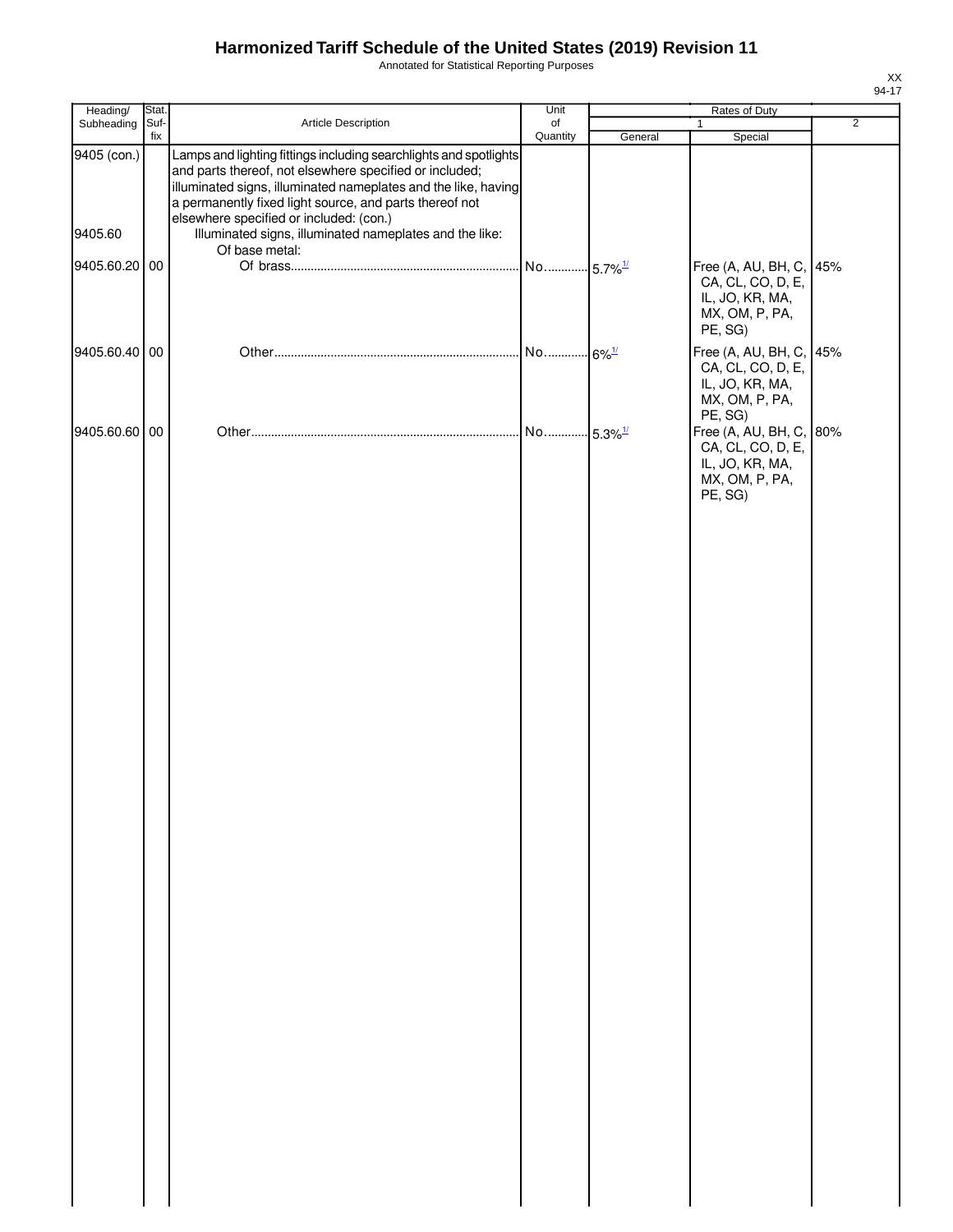Annotated for Statistical Reporting Purposes

| Heading/               | Stat.       |                                                                                                                                                                                                                                                                                                                                                                 | Unit                  | Rates of Duty |                                                                                              |                |
|------------------------|-------------|-----------------------------------------------------------------------------------------------------------------------------------------------------------------------------------------------------------------------------------------------------------------------------------------------------------------------------------------------------------------|-----------------------|---------------|----------------------------------------------------------------------------------------------|----------------|
| Subheading             | Suf-<br>fix | Article Description                                                                                                                                                                                                                                                                                                                                             | of<br>Quantity        | General       | $\mathbf{1}$<br>Special                                                                      | $\overline{2}$ |
| 9405 (con.)<br>9405.60 |             | Lamps and lighting fittings including searchlights and spotlights<br>and parts thereof, not elsewhere specified or included;<br>illuminated signs, illuminated nameplates and the like, having<br>a permanently fixed light source, and parts thereof not<br>elsewhere specified or included: (con.)<br>Illuminated signs, illuminated nameplates and the like: |                       |               |                                                                                              |                |
|                        |             | Of base metal:                                                                                                                                                                                                                                                                                                                                                  |                       |               |                                                                                              |                |
| 9405.60.20 00          |             |                                                                                                                                                                                                                                                                                                                                                                 |                       |               | Free (A, AU, BH, C, 45%<br>CA, CL, CO, D, E,<br>IL, JO, KR, MA,<br>MX, OM, P, PA,<br>PE, SG) |                |
| 9405.60.40 00          |             |                                                                                                                                                                                                                                                                                                                                                                 |                       |               | Free (A, AU, BH, C, 45%<br>CA, CL, CO, D, E,<br>IL, JO, KR, MA,<br>MX, OM, P, PA,<br>PE, SG) |                |
| 9405.60.60 00          |             |                                                                                                                                                                                                                                                                                                                                                                 | No 5.3% <sup>1/</sup> |               | Free (A, AU, BH, C,<br>CA, CL, CO, D, E,<br>IL, JO, KR, MA,<br>MX, OM, P, PA,<br>PE, SG)     | 80%            |
|                        |             |                                                                                                                                                                                                                                                                                                                                                                 |                       |               |                                                                                              |                |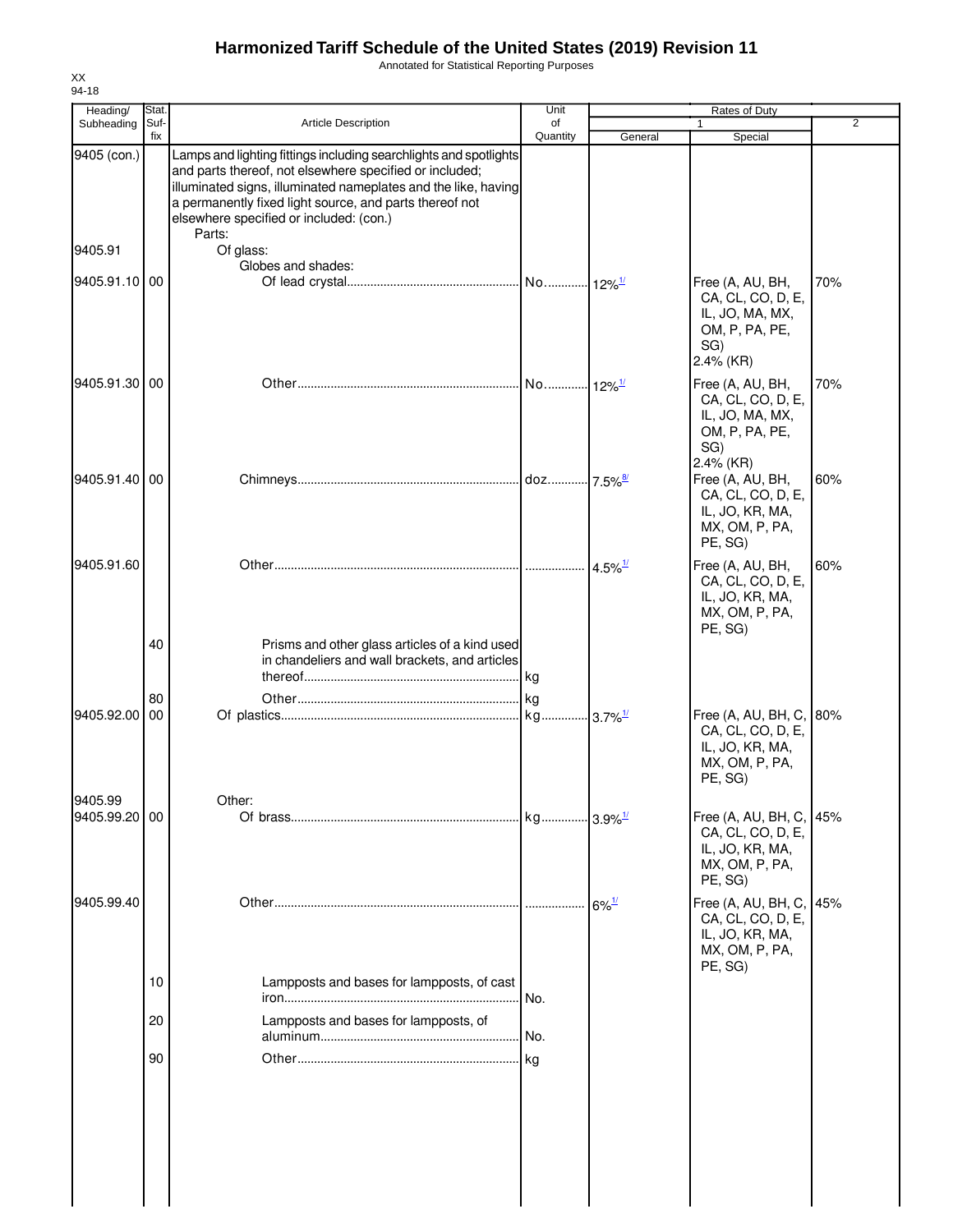Annotated for Statistical Reporting Purposes

| Heading/                 | Stat.       |                                                                                                                                                                                                                                                                                                                | Unit           | Rates of Duty         |                                                                                                |                |
|--------------------------|-------------|----------------------------------------------------------------------------------------------------------------------------------------------------------------------------------------------------------------------------------------------------------------------------------------------------------------|----------------|-----------------------|------------------------------------------------------------------------------------------------|----------------|
| Subheading               | Suf-<br>fix | <b>Article Description</b>                                                                                                                                                                                                                                                                                     | of<br>Quantity | General               | 1<br>Special                                                                                   | $\overline{2}$ |
| 9405 (con.)              |             | Lamps and lighting fittings including searchlights and spotlights<br>and parts thereof, not elsewhere specified or included;<br>illuminated signs, illuminated nameplates and the like, having<br>a permanently fixed light source, and parts thereof not<br>elsewhere specified or included: (con.)<br>Parts: |                |                       |                                                                                                |                |
| 9405.91                  |             | Of glass:                                                                                                                                                                                                                                                                                                      |                |                       |                                                                                                |                |
| 9405.91.10 00            |             | Globes and shades:                                                                                                                                                                                                                                                                                             |                |                       | Free (A, AU, BH,<br>CA, CL, CO, D, E,<br>IL, JO, MA, MX,<br>OM, P, PA, PE,<br>SG)<br>2.4% (KR) | 70%            |
| 9405.91.30 00            |             |                                                                                                                                                                                                                                                                                                                |                |                       | Free (A, AU, BH,<br>CA, CL, CO, D, E,<br>IL, JO, MA, MX,<br>OM, P, PA, PE,<br>SG)<br>2.4% (KR) | 70%            |
| 9405.91.40 00            |             |                                                                                                                                                                                                                                                                                                                |                |                       | Free (A, AU, BH,<br>CA, CL, CO, D, E,<br>IL, JO, KR, MA,<br>MX, OM, P, PA,<br>PE, SG)          | 60%            |
| 9405.91.60               |             |                                                                                                                                                                                                                                                                                                                |                | $4.5\%$ <sup>1/</sup> | Free (A, AU, BH,<br>CA, CL, CO, D, E,<br>IL, JO, KR, MA,<br>MX, OM, P, PA,<br>PE, SG)          | 60%            |
|                          | 40          | Prisms and other glass articles of a kind used<br>in chandeliers and wall brackets, and articles                                                                                                                                                                                                               |                |                       |                                                                                                |                |
| 9405.92.00               | 80<br>00    |                                                                                                                                                                                                                                                                                                                |                |                       | Free (A, AU, BH, C,<br>CA, CL, CO, D, E,<br>IL, JO, KR, MA,<br>MX, OM, P, PA,<br>PE, SG)       | 80%            |
| 9405.99<br>9405.99.20 00 |             | Other:                                                                                                                                                                                                                                                                                                         |                |                       | Free (A, AU, BH, C,<br>CA, CL, CO, D, E,<br>IL, JO, KR, MA,<br>MX, OM, P, PA,<br>PE, SG)       | 45%            |
| 9405.99.40               |             |                                                                                                                                                                                                                                                                                                                |                | $6\%$ <sup>1/</sup>   | Free (A, AU, BH, C,<br>CA, CL, CO, D, E,<br>IL, JO, KR, MA,<br>MX, OM, P, PA,<br>PE, SG)       | 45%            |
|                          | 10          | Lampposts and bases for lampposts, of cast                                                                                                                                                                                                                                                                     | . No.          |                       |                                                                                                |                |
|                          | 20          | Lampposts and bases for lampposts, of                                                                                                                                                                                                                                                                          |                |                       |                                                                                                |                |
|                          | 90          |                                                                                                                                                                                                                                                                                                                |                |                       |                                                                                                |                |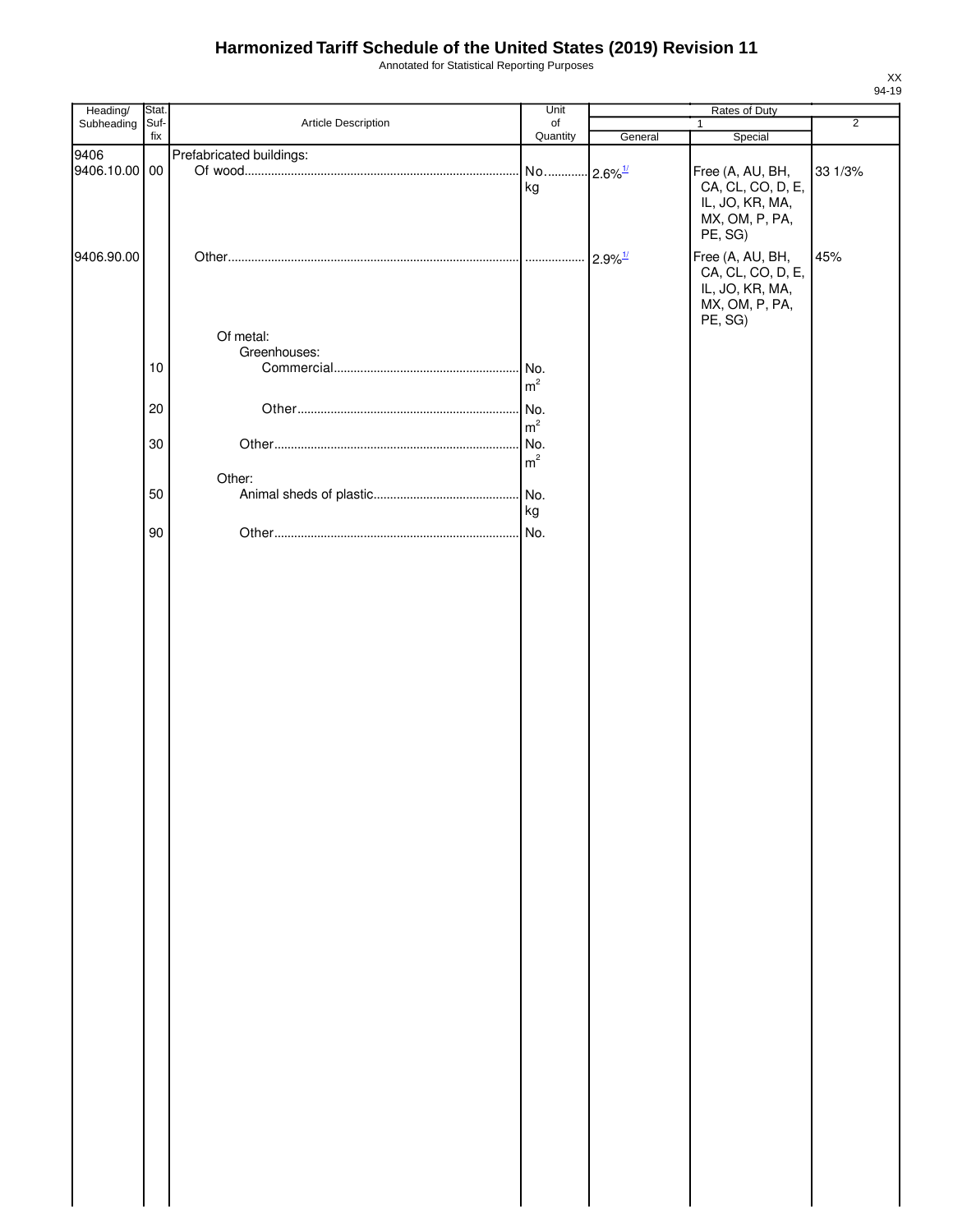Annotated for Statistical Reporting Purposes

| Heading/      | Stat. |                          | Unit                  |                       |                   |                |
|---------------|-------|--------------------------|-----------------------|-----------------------|-------------------|----------------|
| Subheading    | Suf-  | Article Description      | of                    |                       | $\mathbf{1}$      | $\overline{2}$ |
|               | fix   |                          | Quantity              | General               | Special           |                |
| 9406          |       | Prefabricated buildings: |                       |                       |                   |                |
| 9406.10.00 00 |       |                          | No 2.6% <sup>1/</sup> |                       | Free (A, AU, BH,  | 33 1/3%        |
|               |       |                          | kg                    |                       | CA, CL, CO, D, E, |                |
|               |       |                          |                       |                       | IL, JO, KR, MA,   |                |
|               |       |                          |                       |                       | MX, OM, P, PA,    |                |
|               |       |                          |                       |                       | PE, SG)           |                |
|               |       |                          |                       |                       |                   |                |
| 9406.90.00    |       |                          |                       | $2.9\%$ <sup>1/</sup> | Free (A, AU, BH,  | 45%            |
|               |       |                          |                       |                       | CA, CL, CO, D, E, |                |
|               |       |                          |                       |                       | IL, JO, KR, MA,   |                |
|               |       |                          |                       |                       | MX, OM, P, PA,    |                |
|               |       |                          |                       |                       | PE, SG)           |                |
|               |       | Of metal:                |                       |                       |                   |                |
|               |       | Greenhouses:             |                       |                       |                   |                |
|               | 10    |                          |                       |                       |                   |                |
|               |       |                          | m <sup>2</sup>        |                       |                   |                |
|               |       |                          |                       |                       |                   |                |
|               | 20    |                          | No.                   |                       |                   |                |
|               |       |                          | m <sup>2</sup>        |                       |                   |                |
|               | 30    |                          | . No.                 |                       |                   |                |
|               |       |                          | m <sup>2</sup>        |                       |                   |                |
|               |       | Other:                   |                       |                       |                   |                |
|               | 50    |                          |                       |                       |                   |                |
|               |       |                          |                       |                       |                   |                |
|               |       |                          | kg                    |                       |                   |                |
|               | 90    |                          | . No.                 |                       |                   |                |
|               |       |                          |                       |                       |                   |                |
|               |       |                          |                       |                       |                   |                |
|               |       |                          |                       |                       |                   |                |
|               |       |                          |                       |                       |                   |                |
|               |       |                          |                       |                       |                   |                |
|               |       |                          |                       |                       |                   |                |
|               |       |                          |                       |                       |                   |                |
|               |       |                          |                       |                       |                   |                |
|               |       |                          |                       |                       |                   |                |
|               |       |                          |                       |                       |                   |                |
|               |       |                          |                       |                       |                   |                |
|               |       |                          |                       |                       |                   |                |
|               |       |                          |                       |                       |                   |                |
|               |       |                          |                       |                       |                   |                |
|               |       |                          |                       |                       |                   |                |
|               |       |                          |                       |                       |                   |                |
|               |       |                          |                       |                       |                   |                |
|               |       |                          |                       |                       |                   |                |
|               |       |                          |                       |                       |                   |                |
|               |       |                          |                       |                       |                   |                |
|               |       |                          |                       |                       |                   |                |
|               |       |                          |                       |                       |                   |                |
|               |       |                          |                       |                       |                   |                |
|               |       |                          |                       |                       |                   |                |
|               |       |                          |                       |                       |                   |                |
|               |       |                          |                       |                       |                   |                |
|               |       |                          |                       |                       |                   |                |
|               |       |                          |                       |                       |                   |                |
|               |       |                          |                       |                       |                   |                |
|               |       |                          |                       |                       |                   |                |
|               |       |                          |                       |                       |                   |                |
|               |       |                          |                       |                       |                   |                |
|               |       |                          |                       |                       |                   |                |
|               |       |                          |                       |                       |                   |                |
|               |       |                          |                       |                       |                   |                |
|               |       |                          |                       |                       |                   |                |
|               |       |                          |                       |                       |                   |                |
|               |       |                          |                       |                       |                   |                |
|               |       |                          |                       |                       |                   |                |
|               |       |                          |                       |                       |                   |                |
|               |       |                          |                       |                       |                   |                |
|               |       |                          |                       |                       |                   |                |
|               |       |                          |                       |                       |                   |                |
|               |       |                          |                       |                       |                   |                |
|               |       |                          |                       |                       |                   |                |